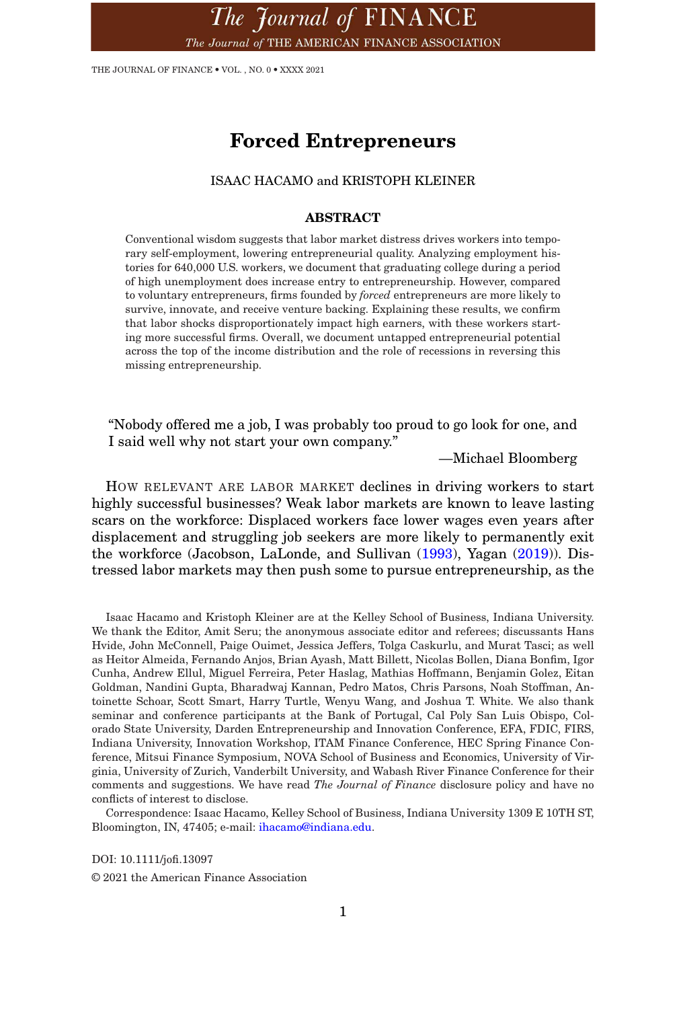The Journal of FINANCE The Journal of THE AMERICAN FINANCE ASSOCIATION

THE JOURNAL OF FINANCE • VOL. , NO. 0 • XXXX 2021

# **Forced Entrepreneurs**

### ISAAC HACAMO and KRISTOPH KLEINER

### **ABSTRACT**

Conventional wisdom suggests that labor market distress drives workers into temporary self-employment, lowering entrepreneurial quality. Analyzing employment histories for 640,000 U.S. workers, we document that graduating college during a period of high unemployment does increase entry to entrepreneurship. However, compared to voluntary entrepreneurs, firms founded by *forced* entrepreneurs are more likely to survive, innovate, and receive venture backing. Explaining these results, we confirm that labor shocks disproportionately impact high earners, with these workers starting more successful firms. Overall, we document untapped entrepreneurial potential across the top of the income distribution and the role of recessions in reversing this missing entrepreneurship.

"Nobody offered me a job, I was probably too proud to go look for one, and I said well why not start your own company."

—Michael Bloomberg

HOW RELEVANT ARE LABOR MARKET declines in driving workers to start highly successful businesses? Weak labor markets are known to leave lasting scars on the workforce: Displaced workers face lower wages even years after displacement and struggling job seekers are more likely to permanently exit the workforce (Jacobson, LaLonde, and Sullivan (1993), Yagan (2019)). Distressed labor markets may then push some to pursue entrepreneurship, as the

Isaac Hacamo and Kristoph Kleiner are at the Kelley School of Business, Indiana University. We thank the Editor, Amit Seru; the anonymous associate editor and referees; discussants Hans Hvide, John McConnell, Paige Ouimet, Jessica Jeffers, Tolga Caskurlu, and Murat Tasci; as well as Heitor Almeida, Fernando Anjos, Brian Ayash, Matt Billett, Nicolas Bollen, Diana Bonfim, Igor Cunha, Andrew Ellul, Miguel Ferreira, Peter Haslag, Mathias Hoffmann, Benjamin Golez, Eitan Goldman, Nandini Gupta, Bharadwaj Kannan, Pedro Matos, Chris Parsons, Noah Stoffman, Antoinette Schoar, Scott Smart, Harry Turtle, Wenyu Wang, and Joshua T. White. We also thank seminar and conference participants at the Bank of Portugal, Cal Poly San Luis Obispo, Colorado State University, Darden Entrepreneurship and Innovation Conference, EFA, FDIC, FIRS, Indiana University, Innovation Workshop, ITAM Finance Conference, HEC Spring Finance Conference, Mitsui Finance Symposium, NOVA School of Business and Economics, University of Virginia, University of Zurich, Vanderbilt University, and Wabash River Finance Conference for their comments and suggestions. We have read *The Journal of Finance* disclosure policy and have no conflicts of interest to disclose.

Correspondence: Isaac Hacamo, Kelley School of Business, Indiana University 1309 E 10TH ST, Bloomington, IN, 47405; e-mail: ihacamo@indiana.edu.

DOI: 10.1111/jofi.13097 © 2021 the American Finance Association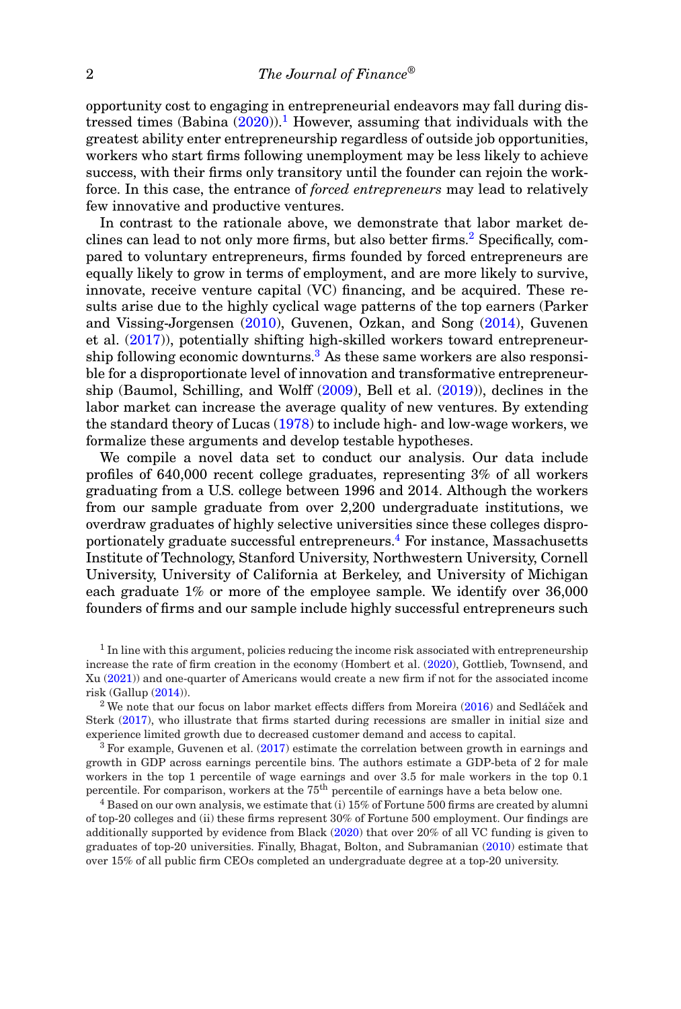opportunity cost to engaging in entrepreneurial endeavors may fall during distressed times (Babina  $(2020)$ ).<sup>1</sup> However, assuming that individuals with the greatest ability enter entrepreneurship regardless of outside job opportunities, workers who start firms following unemployment may be less likely to achieve success, with their firms only transitory until the founder can rejoin the workforce. In this case, the entrance of *forced entrepreneurs* may lead to relatively few innovative and productive ventures.

In contrast to the rationale above, we demonstrate that labor market declines can lead to not only more firms, but also better firms.<sup>2</sup> Specifically, compared to voluntary entrepreneurs, firms founded by forced entrepreneurs are equally likely to grow in terms of employment, and are more likely to survive, innovate, receive venture capital (VC) financing, and be acquired. These results arise due to the highly cyclical wage patterns of the top earners (Parker and Vissing-Jorgensen (2010), Guvenen, Ozkan, and Song (2014), Guvenen et al. (2017)), potentially shifting high-skilled workers toward entrepreneurship following economic downturns.<sup>3</sup> As these same workers are also responsible for a disproportionate level of innovation and transformative entrepreneurship (Baumol, Schilling, and Wolff (2009), Bell et al. (2019)), declines in the labor market can increase the average quality of new ventures. By extending the standard theory of Lucas (1978) to include high- and low-wage workers, we formalize these arguments and develop testable hypotheses.

We compile a novel data set to conduct our analysis. Our data include profiles of 640,000 recent college graduates, representing 3% of all workers graduating from a U.S. college between 1996 and 2014. Although the workers from our sample graduate from over 2,200 undergraduate institutions, we overdraw graduates of highly selective universities since these colleges disproportionately graduate successful entrepreneurs.<sup>4</sup> For instance, Massachusetts Institute of Technology, Stanford University, Northwestern University, Cornell University, University of California at Berkeley, and University of Michigan each graduate 1% or more of the employee sample. We identify over 36,000 founders of firms and our sample include highly successful entrepreneurs such

 $<sup>1</sup>$  In line with this argument, policies reducing the income risk associated with entrepreneurship</sup> increase the rate of firm creation in the economy (Hombert et al. (2020), Gottlieb, Townsend, and Xu (2021)) and one-quarter of Americans would create a new firm if not for the associated income risk (Gallup (2014)).

<sup>2</sup> We note that our focus on labor market effects differs from Moreira  $(2016)$  and Sedlácek and Sterk (2017), who illustrate that firms started during recessions are smaller in initial size and experience limited growth due to decreased customer demand and access to capital.

 $3$  For example, Guvenen et al. (2017) estimate the correlation between growth in earnings and growth in GDP across earnings percentile bins. The authors estimate a GDP-beta of 2 for male workers in the top 1 percentile of wage earnings and over 3.5 for male workers in the top 0.1 percentile. For comparison, workers at the 75<sup>th</sup> percentile of earnings have a beta below one.

<sup>4</sup> Based on our own analysis, we estimate that (i) 15% of Fortune 500 firms are created by alumni of top-20 colleges and (ii) these firms represent 30% of Fortune 500 employment. Our findings are additionally supported by evidence from Black (2020) that over 20% of all VC funding is given to graduates of top-20 universities. Finally, Bhagat, Bolton, and Subramanian (2010) estimate that over 15% of all public firm CEOs completed an undergraduate degree at a top-20 university.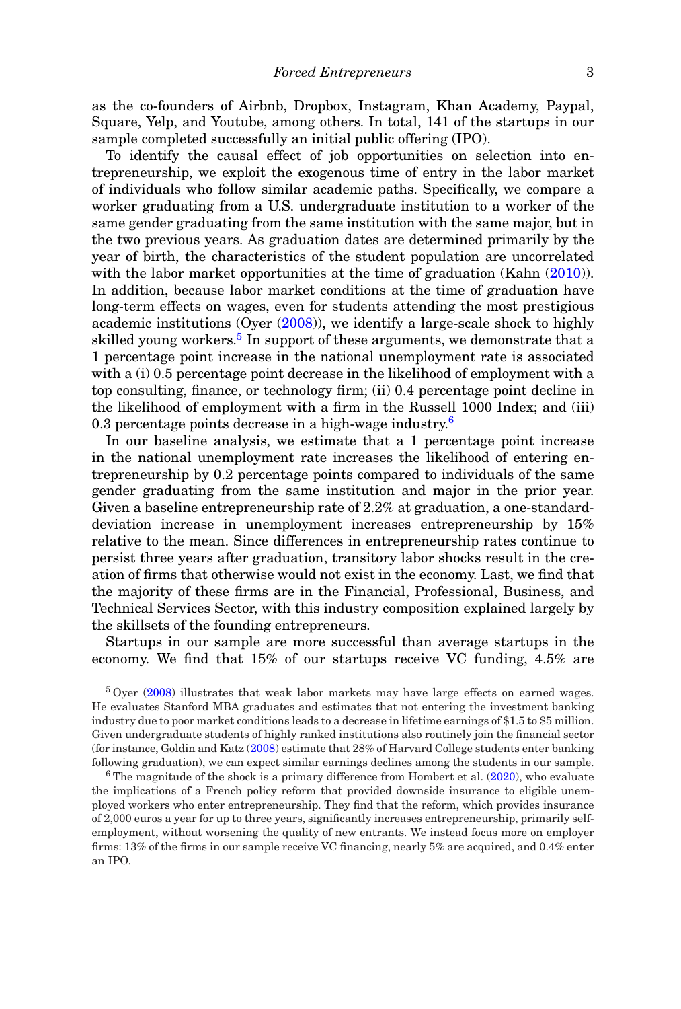as the co-founders of Airbnb, Dropbox, Instagram, Khan Academy, Paypal, Square, Yelp, and Youtube, among others. In total, 141 of the startups in our sample completed successfully an initial public offering (IPO).

To identify the causal effect of job opportunities on selection into entrepreneurship, we exploit the exogenous time of entry in the labor market of individuals who follow similar academic paths. Specifically, we compare a worker graduating from a U.S. undergraduate institution to a worker of the same gender graduating from the same institution with the same major, but in the two previous years. As graduation dates are determined primarily by the year of birth, the characteristics of the student population are uncorrelated with the labor market opportunities at the time of graduation (Kahn (2010)). In addition, because labor market conditions at the time of graduation have long-term effects on wages, even for students attending the most prestigious academic institutions (Oyer (2008)), we identify a large-scale shock to highly skilled young workers.<sup>5</sup> In support of these arguments, we demonstrate that a 1 percentage point increase in the national unemployment rate is associated with a (i) 0.5 percentage point decrease in the likelihood of employment with a top consulting, finance, or technology firm; (ii) 0.4 percentage point decline in the likelihood of employment with a firm in the Russell 1000 Index; and (iii) 0.3 percentage points decrease in a high-wage industry.<sup>6</sup>

In our baseline analysis, we estimate that a 1 percentage point increase in the national unemployment rate increases the likelihood of entering entrepreneurship by 0.2 percentage points compared to individuals of the same gender graduating from the same institution and major in the prior year. Given a baseline entrepreneurship rate of 2.2% at graduation, a one-standarddeviation increase in unemployment increases entrepreneurship by 15% relative to the mean. Since differences in entrepreneurship rates continue to persist three years after graduation, transitory labor shocks result in the creation of firms that otherwise would not exist in the economy. Last, we find that the majority of these firms are in the Financial, Professional, Business, and Technical Services Sector, with this industry composition explained largely by the skillsets of the founding entrepreneurs.

Startups in our sample are more successful than average startups in the economy. We find that 15% of our startups receive VC funding, 4.5% are

<sup>5</sup> Oyer (2008) illustrates that weak labor markets may have large effects on earned wages. He evaluates Stanford MBA graduates and estimates that not entering the investment banking industry due to poor market conditions leads to a decrease in lifetime earnings of \$1.5 to \$5 million. Given undergraduate students of highly ranked institutions also routinely join the financial sector (for instance, Goldin and Katz (2008) estimate that 28% of Harvard College students enter banking following graduation), we can expect similar earnings declines among the students in our sample.

 $6$  The magnitude of the shock is a primary difference from Hombert et al.  $(2020)$ , who evaluate the implications of a French policy reform that provided downside insurance to eligible unemployed workers who enter entrepreneurship. They find that the reform, which provides insurance of 2,000 euros a year for up to three years, significantly increases entrepreneurship, primarily selfemployment, without worsening the quality of new entrants. We instead focus more on employer firms: 13% of the firms in our sample receive VC financing, nearly 5% are acquired, and 0.4% enter an IPO.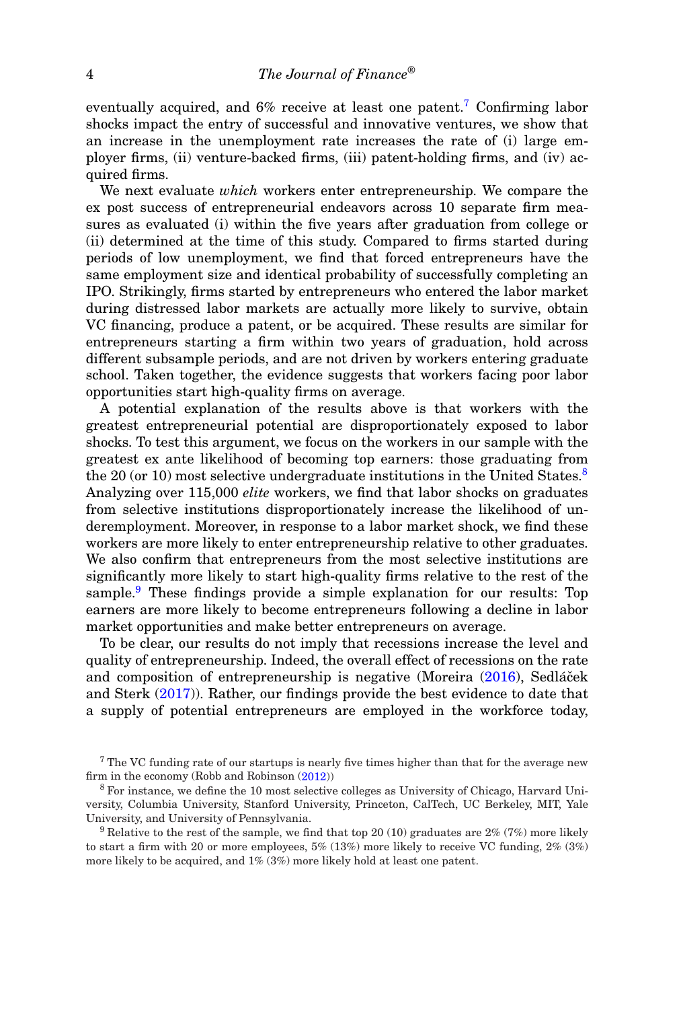eventually acquired, and  $6\%$  receive at least one patent.<sup>7</sup> Confirming labor shocks impact the entry of successful and innovative ventures, we show that an increase in the unemployment rate increases the rate of (i) large employer firms, (ii) venture-backed firms, (iii) patent-holding firms, and (iv) acquired firms.

We next evaluate *which* workers enter entrepreneurship. We compare the ex post success of entrepreneurial endeavors across 10 separate firm measures as evaluated (i) within the five years after graduation from college or (ii) determined at the time of this study. Compared to firms started during periods of low unemployment, we find that forced entrepreneurs have the same employment size and identical probability of successfully completing an IPO. Strikingly, firms started by entrepreneurs who entered the labor market during distressed labor markets are actually more likely to survive, obtain VC financing, produce a patent, or be acquired. These results are similar for entrepreneurs starting a firm within two years of graduation, hold across different subsample periods, and are not driven by workers entering graduate school. Taken together, the evidence suggests that workers facing poor labor opportunities start high-quality firms on average.

A potential explanation of the results above is that workers with the greatest entrepreneurial potential are disproportionately exposed to labor shocks. To test this argument, we focus on the workers in our sample with the greatest ex ante likelihood of becoming top earners: those graduating from the 20 (or 10) most selective undergraduate institutions in the United States.<sup>8</sup> Analyzing over 115,000 *elite* workers, we find that labor shocks on graduates from selective institutions disproportionately increase the likelihood of underemployment. Moreover, in response to a labor market shock, we find these workers are more likely to enter entrepreneurship relative to other graduates. We also confirm that entrepreneurs from the most selective institutions are significantly more likely to start high-quality firms relative to the rest of the sample.<sup>9</sup> These findings provide a simple explanation for our results: Top earners are more likely to become entrepreneurs following a decline in labor market opportunities and make better entrepreneurs on average.

To be clear, our results do not imply that recessions increase the level and quality of entrepreneurship. Indeed, the overall effect of recessions on the rate and composition of entrepreneurship is negative (Moreira (2016), Sedláček and Sterk (2017)). Rather, our findings provide the best evidence to date that a supply of potential entrepreneurs are employed in the workforce today,

<sup>7</sup> The VC funding rate of our startups is nearly five times higher than that for the average new firm in the economy (Robb and Robinson (2012))

<sup>8</sup> For instance, we define the 10 most selective colleges as University of Chicago, Harvard University, Columbia University, Stanford University, Princeton, CalTech, UC Berkeley, MIT, Yale University, and University of Pennsylvania.

<sup>&</sup>lt;sup>9</sup> Relative to the rest of the sample, we find that top 20 (10) graduates are  $2\%$  (7%) more likely to start a firm with 20 or more employees,  $5\%$  (13%) more likely to receive VC funding,  $2\%$  (3%) more likely to be acquired, and 1% (3%) more likely hold at least one patent.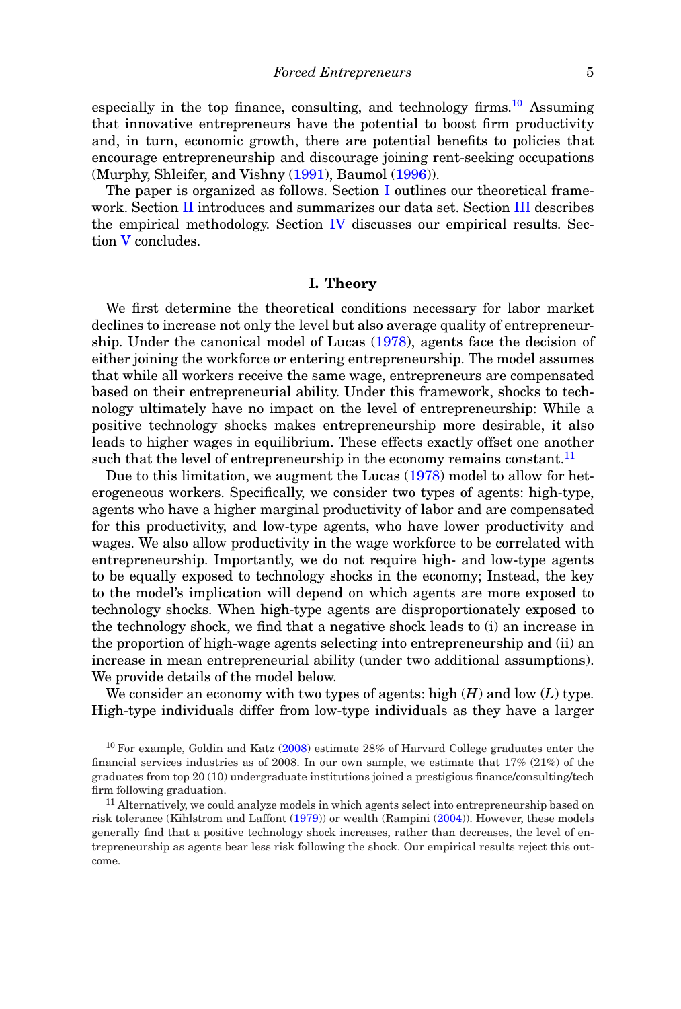especially in the top finance, consulting, and technology firms.<sup>10</sup> Assuming that innovative entrepreneurs have the potential to boost firm productivity and, in turn, economic growth, there are potential benefits to policies that encourage entrepreneurship and discourage joining rent-seeking occupations (Murphy, Shleifer, and Vishny (1991), Baumol (1996)).

The paper is organized as follows. Section I outlines our theoretical framework. Section II introduces and summarizes our data set. Section III describes the empirical methodology. Section IV discusses our empirical results. Section V concludes.

### **I. Theory**

We first determine the theoretical conditions necessary for labor market declines to increase not only the level but also average quality of entrepreneurship. Under the canonical model of Lucas (1978), agents face the decision of either joining the workforce or entering entrepreneurship. The model assumes that while all workers receive the same wage, entrepreneurs are compensated based on their entrepreneurial ability. Under this framework, shocks to technology ultimately have no impact on the level of entrepreneurship: While a positive technology shocks makes entrepreneurship more desirable, it also leads to higher wages in equilibrium. These effects exactly offset one another such that the level of entrepreneurship in the economy remains constant.<sup>11</sup>

Due to this limitation, we augment the Lucas (1978) model to allow for heterogeneous workers. Specifically, we consider two types of agents: high-type, agents who have a higher marginal productivity of labor and are compensated for this productivity, and low-type agents, who have lower productivity and wages. We also allow productivity in the wage workforce to be correlated with entrepreneurship. Importantly, we do not require high- and low-type agents to be equally exposed to technology shocks in the economy; Instead, the key to the model's implication will depend on which agents are more exposed to technology shocks. When high-type agents are disproportionately exposed to the technology shock, we find that a negative shock leads to (i) an increase in the proportion of high-wage agents selecting into entrepreneurship and (ii) an increase in mean entrepreneurial ability (under two additional assumptions). We provide details of the model below.

We consider an economy with two types of agents: high (*H*) and low (*L*) type. High-type individuals differ from low-type individuals as they have a larger

<sup>10</sup> For example, Goldin and Katz (2008) estimate 28% of Harvard College graduates enter the financial services industries as of 2008. In our own sample, we estimate that 17% (21%) of the graduates from top 20 (10) undergraduate institutions joined a prestigious finance/consulting/tech firm following graduation.

 $11$  Alternatively, we could analyze models in which agents select into entrepreneurship based on risk tolerance (Kihlstrom and Laffont (1979)) or wealth (Rampini (2004)). However, these models generally find that a positive technology shock increases, rather than decreases, the level of entrepreneurship as agents bear less risk following the shock. Our empirical results reject this outcome.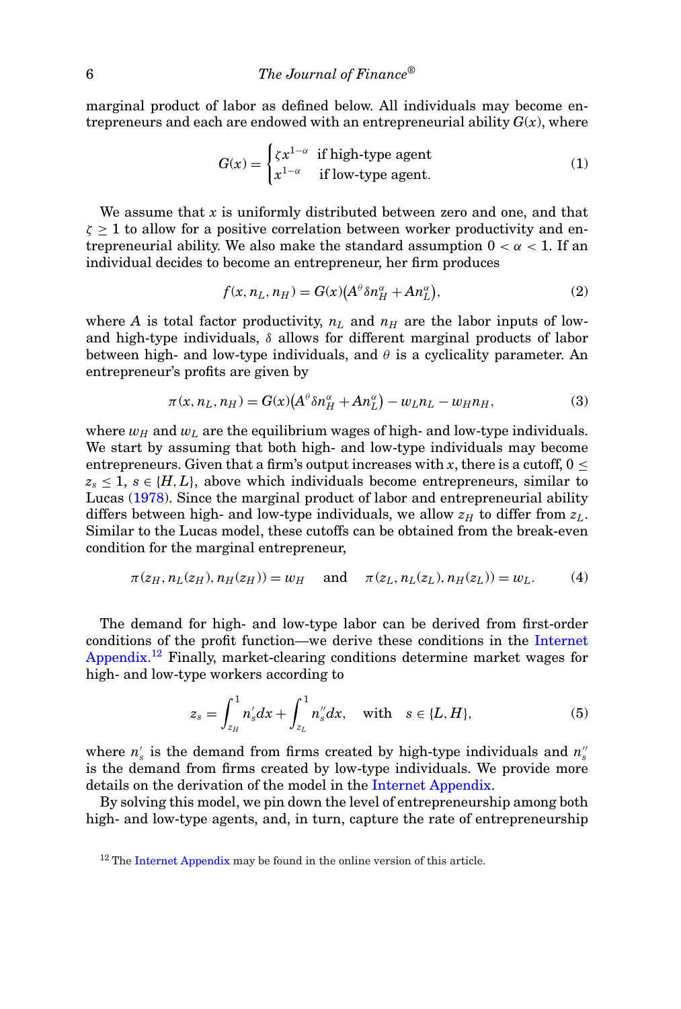marginal product of labor as defined below. All individuals may become entrepreneurs and each are endowed with an entrepreneurial ability  $G(x)$ , where

$$
G(x) = \begin{cases} \zeta x^{1-\alpha} & \text{if high-type agent} \\ x^{1-\alpha} & \text{if low-type agent.} \end{cases}
$$
 (1)

We assume that *x* is uniformly distributed between zero and one, and that  $\zeta \geq 1$  to allow for a positive correlation between worker productivity and entrepreneurial ability. We also make the standard assumption  $0 < \alpha < 1$ . If an individual decides to become an entrepreneur, her firm produces

$$
f(x, nL, nH) = G(x)(A\theta \delta nH\alpha + A nL\alpha),
$$
\n(2)

where *A* is total factor productivity,  $n<sub>L</sub>$  and  $n<sub>H</sub>$  are the labor inputs of lowand high-type individuals,  $\delta$  allows for different marginal products of labor between high- and low-type individuals, and  $\theta$  is a cyclicality parameter. An entrepreneur's profits are given by

$$
\pi(x, n_L, n_H) = G(x) \left( A^{\theta} \delta n_H^{\alpha} + A n_L^{\alpha} \right) - w_L n_L - w_H n_H, \tag{3}
$$

where  $w_H$  and  $w_L$  are the equilibrium wages of high- and low-type individuals. We start by assuming that both high- and low-type individuals may become entrepreneurs. Given that a firm's output increases with x, there is a cutoff,  $0 \leq$  $z_s \leq 1$ ,  $s \in \{H, L\}$ , above which individuals become entrepreneurs, similar to Lucas (1978). Since the marginal product of labor and entrepreneurial ability differs between high- and low-type individuals, we allow  $z_H$  to differ from  $z_L$ . Similar to the Lucas model, these cutoffs can be obtained from the break-even condition for the marginal entrepreneur,

$$
\pi(z_H, n_L(z_H), n_H(z_H)) = w_H \quad \text{and} \quad \pi(z_L, n_L(z_L), n_H(z_L)) = w_L. \tag{4}
$$

The demand for high- and low-type labor can be derived from first-order conditions of the profit function—we derive these conditions in the Internet Appendix.<sup>12</sup> Finally, market-clearing conditions determine market wages for high- and low-type workers according to

$$
z_{s} = \int_{z_{H}}^{1} n'_{s} dx + \int_{z_{L}}^{1} n''_{s} dx, \text{ with } s \in \{L, H\},
$$
 (5)

where  $n'_{s}$  is the demand from firms created by high-type individuals and  $n''_{s}$ is the demand from firms created by low-type individuals. We provide more details on the derivation of the model in the Internet Appendix.

By solving this model, we pin down the level of entrepreneurship among both high- and low-type agents, and, in turn, capture the rate of entrepreneurship

 $12$  The Internet Appendix may be found in the online version of this article.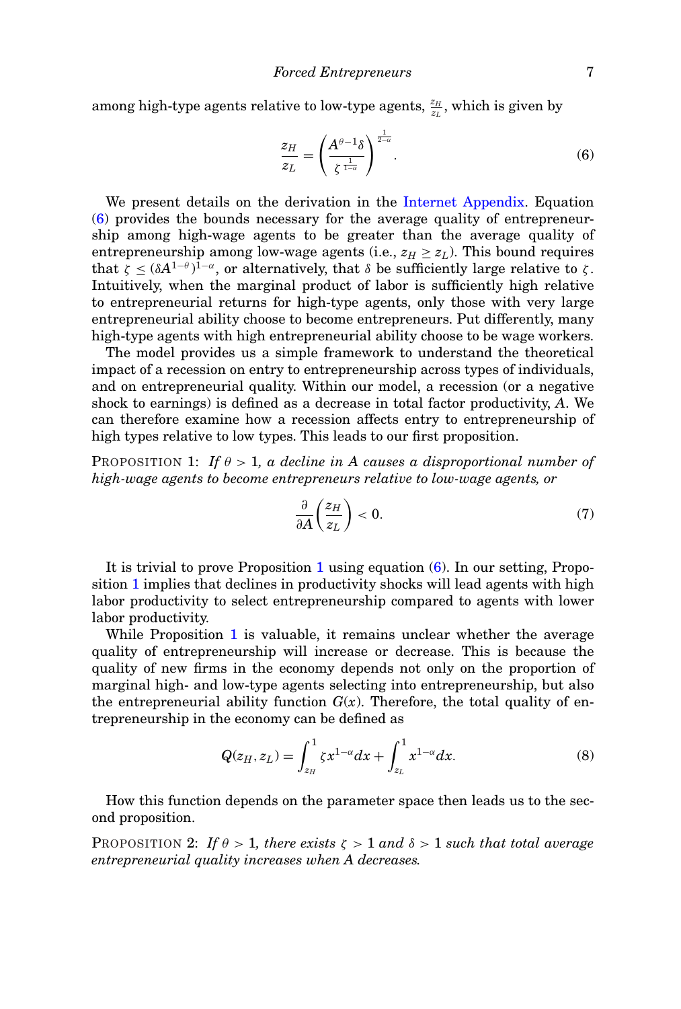among high-type agents relative to low-type agents,  $\frac{z_H}{z_L}$ , which is given by

$$
\frac{z_H}{z_L} = \left(\frac{A^{\theta-1}\delta}{\zeta^{\frac{1}{1-\alpha}}}\right)^{\frac{1}{2-\alpha}}.\tag{6}
$$

We present details on the derivation in the Internet Appendix. Equation (6) provides the bounds necessary for the average quality of entrepreneurship among high-wage agents to be greater than the average quality of entrepreneurship among low-wage agents (i.e.,  $z_H \geq z_L$ ). This bound requires that  $\zeta \leq (\delta A^{1-\theta})^{1-\alpha}$ , or alternatively, that  $\delta$  be sufficiently large relative to  $\zeta$ . Intuitively, when the marginal product of labor is sufficiently high relative to entrepreneurial returns for high-type agents, only those with very large entrepreneurial ability choose to become entrepreneurs. Put differently, many high-type agents with high entrepreneurial ability choose to be wage workers.

The model provides us a simple framework to understand the theoretical impact of a recession on entry to entrepreneurship across types of individuals, and on entrepreneurial quality. Within our model, a recession (or a negative shock to earnings) is defined as a decrease in total factor productivity, *A*. We can therefore examine how a recession affects entry to entrepreneurship of high types relative to low types. This leads to our first proposition.

PROPOSITION 1: *If*  $\theta > 1$ , *a decline in A causes a disproportional number of high-wage agents to become entrepreneurs relative to low-wage agents, or*

$$
\frac{\partial}{\partial A} \left( \frac{z_H}{z_L} \right) < 0. \tag{7}
$$

It is trivial to prove Proposition 1 using equation (6). In our setting, Proposition 1 implies that declines in productivity shocks will lead agents with high labor productivity to select entrepreneurship compared to agents with lower labor productivity.

While Proposition 1 is valuable, it remains unclear whether the average quality of entrepreneurship will increase or decrease. This is because the quality of new firms in the economy depends not only on the proportion of marginal high- and low-type agents selecting into entrepreneurship, but also the entrepreneurial ability function  $G(x)$ . Therefore, the total quality of entrepreneurship in the economy can be defined as

$$
Q(z_H, z_L) = \int_{z_H}^{1} \zeta x^{1-\alpha} dx + \int_{z_L}^{1} x^{1-\alpha} dx.
$$
 (8)

How this function depends on the parameter space then leads us to the second proposition.

PROPOSITION 2: *If*  $\theta > 1$ *, there exists*  $\zeta > 1$  *and*  $\delta > 1$  *such that total average entrepreneurial quality increases when A decreases.*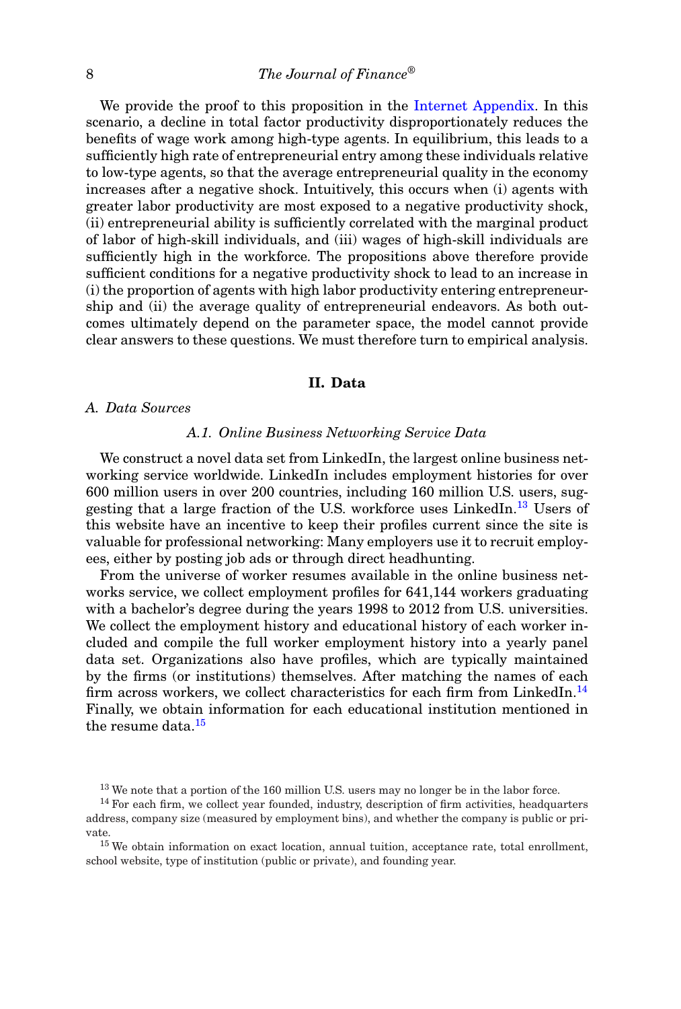We provide the proof to this proposition in the Internet Appendix. In this scenario, a decline in total factor productivity disproportionately reduces the benefits of wage work among high-type agents. In equilibrium, this leads to a sufficiently high rate of entrepreneurial entry among these individuals relative to low-type agents, so that the average entrepreneurial quality in the economy increases after a negative shock. Intuitively, this occurs when (i) agents with greater labor productivity are most exposed to a negative productivity shock, (ii) entrepreneurial ability is sufficiently correlated with the marginal product of labor of high-skill individuals, and (iii) wages of high-skill individuals are sufficiently high in the workforce. The propositions above therefore provide sufficient conditions for a negative productivity shock to lead to an increase in (i) the proportion of agents with high labor productivity entering entrepreneurship and (ii) the average quality of entrepreneurial endeavors. As both outcomes ultimately depend on the parameter space, the model cannot provide clear answers to these questions. We must therefore turn to empirical analysis.

### **II. Data**

### *A. Data Sources*

### *A.1. Online Business Networking Service Data*

We construct a novel data set from LinkedIn, the largest online business networking service worldwide. LinkedIn includes employment histories for over 600 million users in over 200 countries, including 160 million U.S. users, suggesting that a large fraction of the U.S. workforce uses LinkedIn.<sup>13</sup> Users of this website have an incentive to keep their profiles current since the site is valuable for professional networking: Many employers use it to recruit employees, either by posting job ads or through direct headhunting.

From the universe of worker resumes available in the online business networks service, we collect employment profiles for 641,144 workers graduating with a bachelor's degree during the years 1998 to 2012 from U.S. universities. We collect the employment history and educational history of each worker included and compile the full worker employment history into a yearly panel data set. Organizations also have profiles, which are typically maintained by the firms (or institutions) themselves. After matching the names of each firm across workers, we collect characteristics for each firm from LinkedIn.<sup>14</sup> Finally, we obtain information for each educational institution mentioned in the resume data.<sup>15</sup>

<sup>15</sup> We obtain information on exact location, annual tuition, acceptance rate, total enrollment, school website, type of institution (public or private), and founding year.

<sup>&</sup>lt;sup>13</sup> We note that a portion of the 160 million U.S. users may no longer be in the labor force.

<sup>&</sup>lt;sup>14</sup> For each firm, we collect year founded, industry, description of firm activities, headquarters address, company size (measured by employment bins), and whether the company is public or private.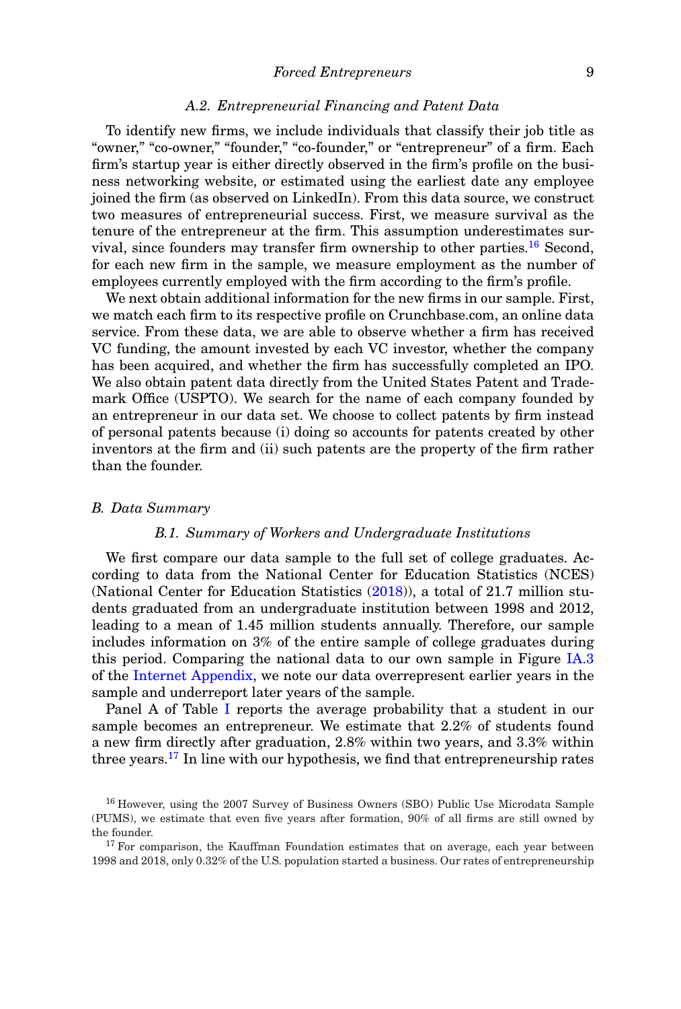### *A.2. Entrepreneurial Financing and Patent Data*

To identify new firms, we include individuals that classify their job title as "owner," "co-owner," "founder," "co-founder," or "entrepreneur" of a firm. Each firm's startup year is either directly observed in the firm's profile on the business networking website, or estimated using the earliest date any employee joined the firm (as observed on LinkedIn). From this data source, we construct two measures of entrepreneurial success. First, we measure survival as the tenure of the entrepreneur at the firm. This assumption underestimates survival, since founders may transfer firm ownership to other parties.<sup>16</sup> Second, for each new firm in the sample, we measure employment as the number of employees currently employed with the firm according to the firm's profile.

We next obtain additional information for the new firms in our sample. First, we match each firm to its respective profile on Crunchbase.com, an online data service. From these data, we are able to observe whether a firm has received VC funding, the amount invested by each VC investor, whether the company has been acquired, and whether the firm has successfully completed an IPO. We also obtain patent data directly from the United States Patent and Trademark Office (USPTO). We search for the name of each company founded by an entrepreneur in our data set. We choose to collect patents by firm instead of personal patents because (i) doing so accounts for patents created by other inventors at the firm and (ii) such patents are the property of the firm rather than the founder.

### *B. Data Summary*

### *B.1. Summary of Workers and Undergraduate Institutions*

We first compare our data sample to the full set of college graduates. According to data from the National Center for Education Statistics (NCES) (National Center for Education Statistics (2018)), a total of 21.7 million students graduated from an undergraduate institution between 1998 and 2012, leading to a mean of 1.45 million students annually. Therefore, our sample includes information on 3% of the entire sample of college graduates during this period. Comparing the national data to our own sample in Figure IA.3 of the Internet Appendix, we note our data overrepresent earlier years in the sample and underreport later years of the sample.

Panel A of Table I reports the average probability that a student in our sample becomes an entrepreneur. We estimate that 2.2% of students found a new firm directly after graduation, 2.8% within two years, and 3.3% within three years.<sup>17</sup> In line with our hypothesis, we find that entrepreneurship rates

<sup>16</sup> However, using the 2007 Survey of Business Owners (SBO) Public Use Microdata Sample (PUMS), we estimate that even five years after formation, 90% of all firms are still owned by the founder.

 $17$  For comparison, the Kauffman Foundation estimates that on average, each year between 1998 and 2018, only 0.32% of the U.S. population started a business. Our rates of entrepreneurship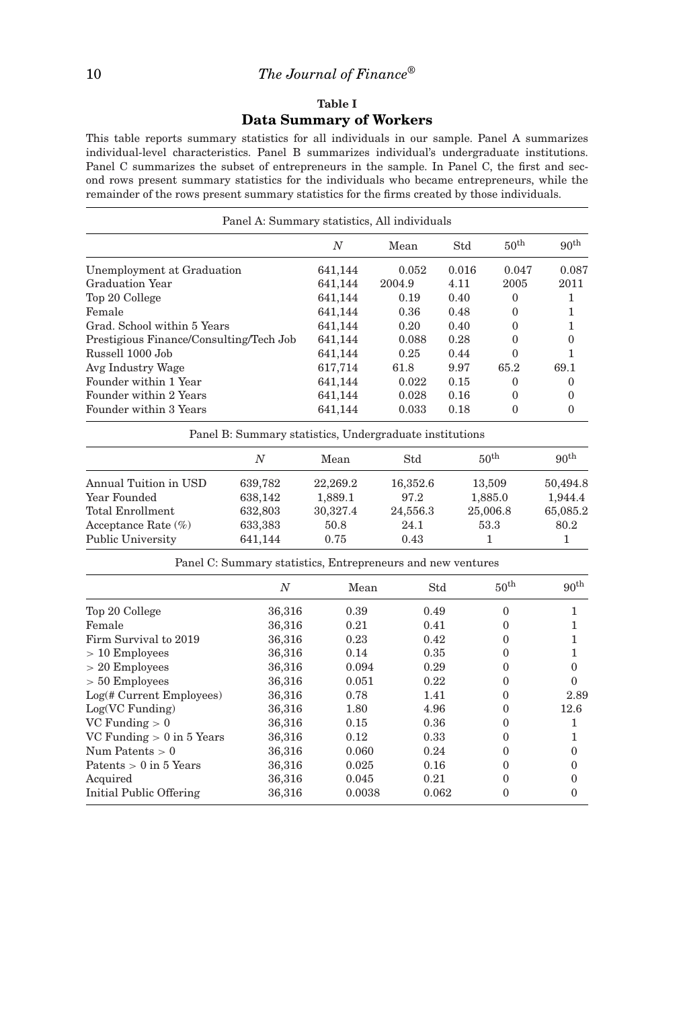### **Table I Data Summary of Workers**

This table reports summary statistics for all individuals in our sample. Panel A summarizes individual-level characteristics. Panel B summarizes individual's undergraduate institutions. Panel C summarizes the subset of entrepreneurs in the sample. In Panel C, the first and second rows present summary statistics for the individuals who became entrepreneurs, while the remainder of the rows present summary statistics for the firms created by those individuals.

| Panel A: Summary statistics, All individuals |         |        |       |                  |                  |
|----------------------------------------------|---------|--------|-------|------------------|------------------|
|                                              | N       | Mean   | Std   | $50^{\text{th}}$ | 90 <sup>th</sup> |
| Unemployment at Graduation                   | 641,144 | 0.052  | 0.016 | 0.047            | 0.087            |
| Graduation Year                              | 641,144 | 2004.9 | 4.11  | 2005             | 2011             |
| Top 20 College                               | 641,144 | 0.19   | 0.40  | $\Omega$         |                  |
| Female                                       | 641,144 | 0.36   | 0.48  | $\Omega$         |                  |
| Grad. School within 5 Years                  | 641,144 | 0.20   | 0.40  | $\Omega$         |                  |
| Prestigious Finance/Consulting/Tech Job      | 641,144 | 0.088  | 0.28  | $\Omega$         | $\Omega$         |
| Russell 1000 Job                             | 641,144 | 0.25   | 0.44  | $\Omega$         |                  |
| Avg Industry Wage                            | 617,714 | 61.8   | 9.97  | 65.2             | 69.1             |
| Founder within 1 Year                        | 641,144 | 0.022  | 0.15  | $\Omega$         | $\theta$         |
| Founder within 2 Years                       | 641,144 | 0.028  | 0.16  | $\Omega$         | 0                |
| Founder within 3 Years                       | 641,144 | 0.033  | 0.18  | $\Omega$         | 0                |

Panel B: Summary statistics, Undergraduate institutions

|                        | Ν       | Mean     | Std      | 50 <sup>th</sup> | 90 <sup>th</sup> |
|------------------------|---------|----------|----------|------------------|------------------|
| Annual Tuition in USD  | 639,782 | 22,269.2 | 16,352.6 | 13,509           | 50,494.8         |
| Year Founded           | 638,142 | 1,889.1  | 97.2     | 1,885.0          | 1.944.4          |
| Total Enrollment       | 632,803 | 30,327.4 | 24,556.3 | 25,006.8         | 65,085.2         |
| Acceptance Rate $(\%)$ | 633,383 | 50.8     | 24.1     | 53.3             | 80.2             |
| Public University      | 641,144 | 0.75     | 0.43     |                  |                  |

Panel C: Summary statistics, Entrepreneurs and new ventures

|                              | $\overline{N}$ | Mean   | Std   | 50 <sup>th</sup> | 90 <sup>th</sup> |
|------------------------------|----------------|--------|-------|------------------|------------------|
| Top 20 College               | 36,316         | 0.39   | 0.49  | $\Omega$         |                  |
| Female                       | 36,316         | 0.21   | 0.41  | $\Omega$         |                  |
| Firm Survival to 2019        | 36,316         | 0.23   | 0.42  | $\Omega$         |                  |
| $>10$ Employees              | 36,316         | 0.14   | 0.35  | $\Omega$         |                  |
| $> 20$ Employees             | 36,316         | 0.094  | 0.29  | $\Omega$         | 0                |
| $> 50$ Employees             | 36,316         | 0.051  | 0.22  | $\Omega$         | 0                |
| $Log(\# Current\,Emplovees)$ | 36,316         | 0.78   | 1.41  | $\Omega$         | 2.89             |
| $Log(VC$ Funding)            | 36,316         | 1.80   | 4.96  | $\Omega$         | 12.6             |
| $VC$ Funding $> 0$           | 36,316         | 0.15   | 0.36  | $\Omega$         |                  |
| VC Funding $> 0$ in 5 Years  | 36,316         | 0.12   | 0.33  | $\Omega$         |                  |
| Num Patents $> 0$            | 36,316         | 0.060  | 0.24  | $\Omega$         | 0                |
| Patents $> 0$ in 5 Years     | 36,316         | 0.025  | 0.16  | $\Omega$         | 0                |
| Acquired                     | 36,316         | 0.045  | 0.21  | $\Omega$         | 0                |
| Initial Public Offering      | 36,316         | 0.0038 | 0.062 | $\Omega$         | $\Omega$         |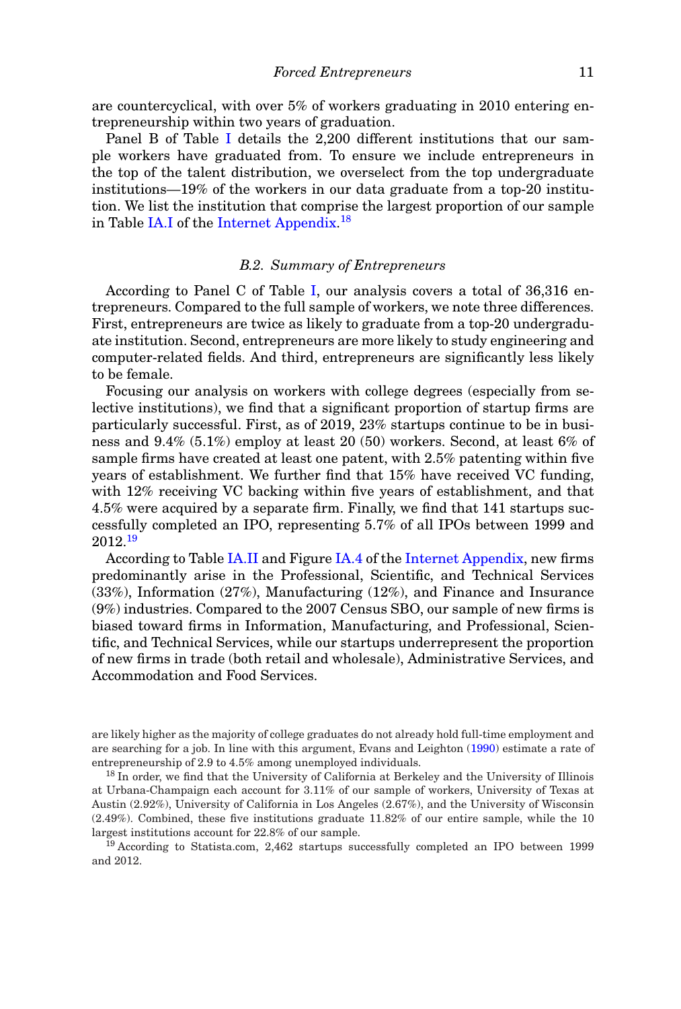are countercyclical, with over 5% of workers graduating in 2010 entering entrepreneurship within two years of graduation.

Panel B of Table I details the 2,200 different institutions that our sample workers have graduated from. To ensure we include entrepreneurs in the top of the talent distribution, we overselect from the top undergraduate institutions—19% of the workers in our data graduate from a top-20 institution. We list the institution that comprise the largest proportion of our sample in Table IA.I of the Internet Appendix.<sup>18</sup>

### *B.2. Summary of Entrepreneurs*

According to Panel C of Table I, our analysis covers a total of 36,316 entrepreneurs. Compared to the full sample of workers, we note three differences. First, entrepreneurs are twice as likely to graduate from a top-20 undergraduate institution. Second, entrepreneurs are more likely to study engineering and computer-related fields. And third, entrepreneurs are significantly less likely to be female.

Focusing our analysis on workers with college degrees (especially from selective institutions), we find that a significant proportion of startup firms are particularly successful. First, as of 2019, 23% startups continue to be in business and 9.4% (5.1%) employ at least 20 (50) workers. Second, at least 6% of sample firms have created at least one patent, with 2.5% patenting within five years of establishment. We further find that 15% have received VC funding, with 12% receiving VC backing within five years of establishment, and that 4.5% were acquired by a separate firm. Finally, we find that 141 startups successfully completed an IPO, representing 5.7% of all IPOs between 1999 and 2012.<sup>19</sup>

According to Table IA.II and Figure IA.4 of the Internet Appendix, new firms predominantly arise in the Professional, Scientific, and Technical Services (33%), Information (27%), Manufacturing (12%), and Finance and Insurance (9%) industries. Compared to the 2007 Census SBO, our sample of new firms is biased toward firms in Information, Manufacturing, and Professional, Scientific, and Technical Services, while our startups underrepresent the proportion of new firms in trade (both retail and wholesale), Administrative Services, and Accommodation and Food Services.

are likely higher as the majority of college graduates do not already hold full-time employment and are searching for a job. In line with this argument, Evans and Leighton (1990) estimate a rate of entrepreneurship of 2.9 to 4.5% among unemployed individuals.

<sup>18</sup> In order, we find that the University of California at Berkeley and the University of Illinois at Urbana-Champaign each account for 3.11% of our sample of workers, University of Texas at Austin (2.92%), University of California in Los Angeles (2.67%), and the University of Wisconsin (2.49%). Combined, these five institutions graduate 11.82% of our entire sample, while the 10 largest institutions account for 22.8% of our sample.

<sup>19</sup> According to Statista.com, 2,462 startups successfully completed an IPO between 1999 and 2012.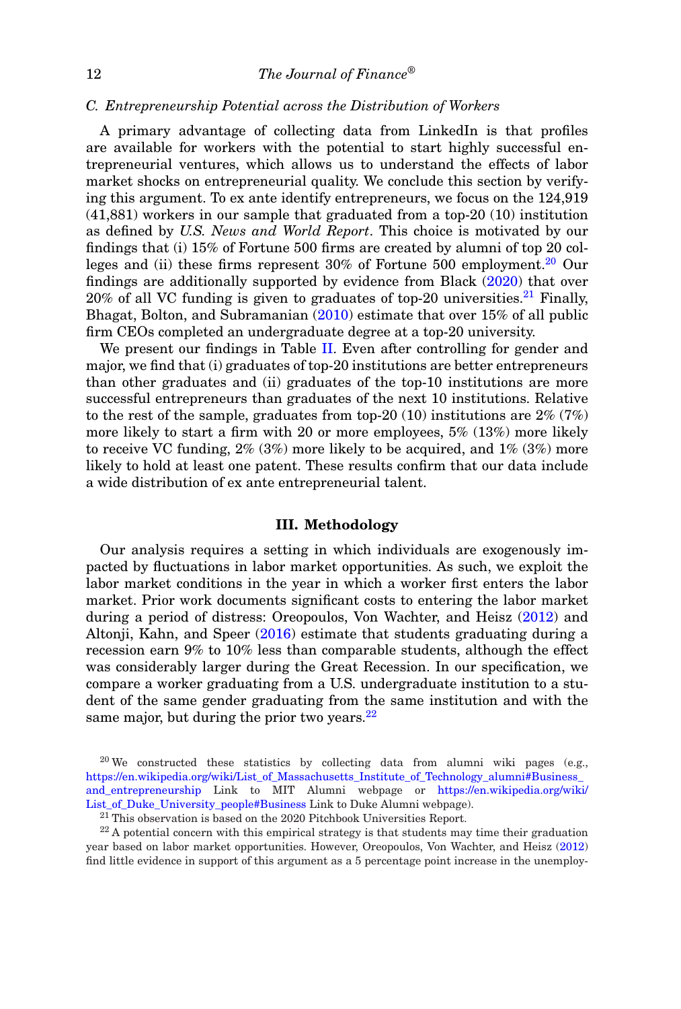### *C. Entrepreneurship Potential across the Distribution of Workers*

A primary advantage of collecting data from LinkedIn is that profiles are available for workers with the potential to start highly successful entrepreneurial ventures, which allows us to understand the effects of labor market shocks on entrepreneurial quality. We conclude this section by verifying this argument. To ex ante identify entrepreneurs, we focus on the 124,919 (41,881) workers in our sample that graduated from a top-20 (10) institution as defined by *U.S. News and World Report*. This choice is motivated by our findings that (i) 15% of Fortune 500 firms are created by alumni of top 20 colleges and (ii) these firms represent  $30\%$  of Fortune 500 employment.<sup>20</sup> Our findings are additionally supported by evidence from Black (2020) that over 20% of all VC funding is given to graduates of top-20 universities.<sup>21</sup> Finally, Bhagat, Bolton, and Subramanian (2010) estimate that over 15% of all public firm CEOs completed an undergraduate degree at a top-20 university.

We present our findings in Table II. Even after controlling for gender and major, we find that (i) graduates of top-20 institutions are better entrepreneurs than other graduates and (ii) graduates of the top-10 institutions are more successful entrepreneurs than graduates of the next 10 institutions. Relative to the rest of the sample, graduates from top-20 (10) institutions are  $2\%$  (7%) more likely to start a firm with 20 or more employees, 5% (13%) more likely to receive VC funding,  $2\%$  (3%) more likely to be acquired, and  $1\%$  (3%) more likely to hold at least one patent. These results confirm that our data include a wide distribution of ex ante entrepreneurial talent.

### **III. Methodology**

Our analysis requires a setting in which individuals are exogenously impacted by fluctuations in labor market opportunities. As such, we exploit the labor market conditions in the year in which a worker first enters the labor market. Prior work documents significant costs to entering the labor market during a period of distress: Oreopoulos, Von Wachter, and Heisz (2012) and Altonji, Kahn, and Speer (2016) estimate that students graduating during a recession earn 9% to 10% less than comparable students, although the effect was considerably larger during the Great Recession. In our specification, we compare a worker graduating from a U.S. undergraduate institution to a student of the same gender graduating from the same institution and with the same major, but during the prior two years. $22$ 

 $20$  We constructed these statistics by collecting data from alumni wiki pages (e.g., https://en.wikipedia.org/wiki/List\_of\_Massachusetts\_Institute\_of\_Technology\_alumni#Business\_ and\_entrepreneurship Link to MIT Alumni webpage or https://en.wikipedia.org/wiki/ List\_of\_Duke\_University\_people#Business Link to Duke Alumni webpage).

 $21$  This observation is based on the 2020 Pitchbook Universities Report.

 $22$  A potential concern with this empirical strategy is that students may time their graduation year based on labor market opportunities. However, Oreopoulos, Von Wachter, and Heisz (2012) find little evidence in support of this argument as a 5 percentage point increase in the unemploy-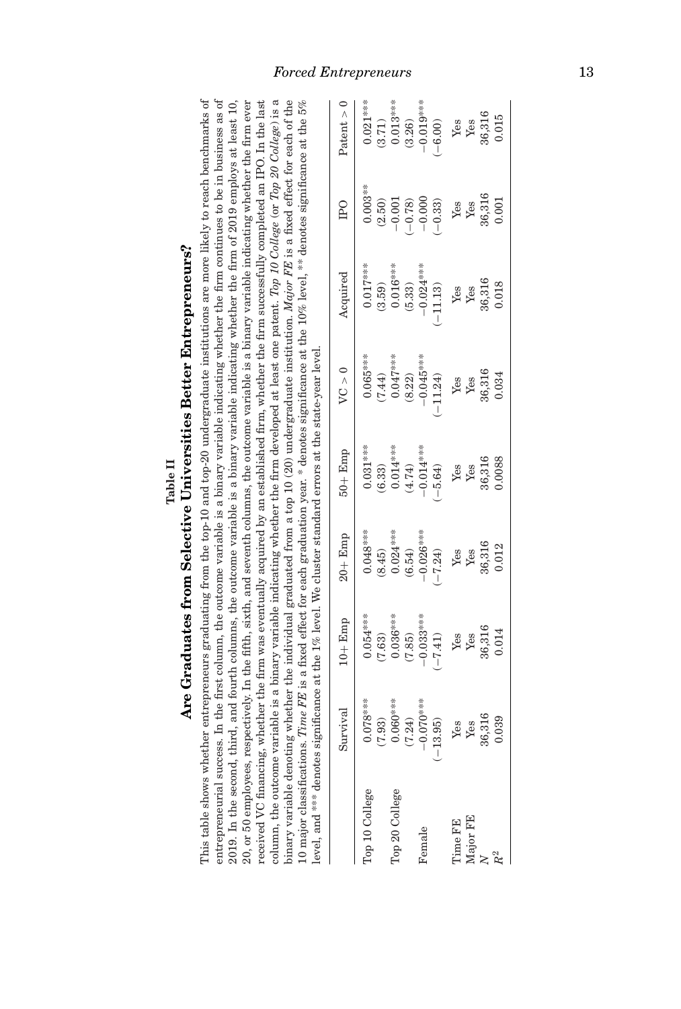|                       | <b>Thes</b><br>Ξ |
|-----------------------|------------------|
| e II<br>$_{\rm able}$ | ٦                |
|                       | こうつう             |
|                       |                  |
|                       | Ì<br>ĺ           |
|                       | Ž                |

tter Entrepreneurs?

This table shows whether entrepreneurs graduating from the top-10 and top-20 undergraduate institutions are more likely to reach benchmarks of entrepreneurial success. In the first column, the outcome variable is a binary variable indicating whether the firm continues to be in business as of This table shows whether entrepreneurs graduating from the top-10 and top-20 undergraduate institutions are more likely to reach benchmarks of entrepreneurial success. In the first column, the outcome variable is a binary variable indicating whether the firm continues to be in business as of 2019. In the second, third, and fourth columns, the outcome variable is a binary variable indicating whether the firm of 2019 employs at least 10,  $20$ , or 50 employees, respectively. In the fifth, sixth, and seventh columns, the outcome variable is a binary variable indicating whether the firm ever received VC financing, whether the firm was eventually acquired by an established firm, whether the firm successfully completed an IPO. In the last column, the outcome variable is a binary variable indicating whether the firm developed at least one patent. Top 10 College (or Top 20 College) is a column, the outcome variable is a binary variable indicating whether the firm developed at least one patent. *Top 10 College* (or *Top 20 College*) is a binary variable denoting whether the individual graduated from a top 10 (20) undergraduate institution. *Major FE* is a fixed effect for each of the 20, or 50 employees, respectively. In the fifth, sixth, and seventh columns, the outcome variable is a binary variable indicating whether the firm ever received VC financing, whether the firm was eventually acquired by an established firm, whether the firm successfully completed an IPO. In the last binary variable denoting whether the individual graduated from a top 10 (20) undergraduate institution. *Major FE* is a fixed effect for each of the 10 major classifications. Time FE is a fixed effect for each graduation year. \* denotes significance at the 10% level, \*\* denotes significance at the 5% 10 major classifications. *Time FE* is a fixed effect for each graduation year. \* denotes significance at the to the to the 5% level, \*\* denotes significance at the 5% level external and the 5% level of the 5% level at the 2019. In the second, third, and fourth columns, the outcome variable is a binary variable indicating whether the firm of 2019 employs at least 10, **Are Graduates from Selective Universities Better Entrepreneurs?** level, and \*\*\* denotes significance at the 1% level. We cluster standard errors at the state-year level.

| level, and *** denotes sign |                         | incance at the $1\%$ level.                                                                   | Ne cluster standard errors at 1                                                            |                                                                                           | the state-vear level                                                                                                                                |          |                                                                                                          |                                                                                                                                                                                                                                                                                                                                                                                                                                                                                             |
|-----------------------------|-------------------------|-----------------------------------------------------------------------------------------------|--------------------------------------------------------------------------------------------|-------------------------------------------------------------------------------------------|-----------------------------------------------------------------------------------------------------------------------------------------------------|----------|----------------------------------------------------------------------------------------------------------|---------------------------------------------------------------------------------------------------------------------------------------------------------------------------------------------------------------------------------------------------------------------------------------------------------------------------------------------------------------------------------------------------------------------------------------------------------------------------------------------|
|                             | Survival                | $10 +$ Emp                                                                                    | $20 +$ Emp                                                                                 | $50 +$ Emp                                                                                | VC > 0                                                                                                                                              | Acquired | <b>IPO</b>                                                                                               | Patent $> 0$                                                                                                                                                                                                                                                                                                                                                                                                                                                                                |
| Top 10 College              | $0.078***$<br>(7.93)    |                                                                                               |                                                                                            | $0.031***$                                                                                |                                                                                                                                                     |          |                                                                                                          |                                                                                                                                                                                                                                                                                                                                                                                                                                                                                             |
| Top 20 College              | $0.060***$              | $(7.63)$<br>$(7.63)$<br>$(0.63)$<br>$(0.63)$<br>$(7.85)$<br>$(-7.41)$<br>$Y_{BS}$<br>$Y_{BS}$ | $0.048$ ***<br>$0.024$ ***<br>$0.024$ ***<br>$-0.026$ ***<br>$-0.026$ ***<br>$Y$ 68<br>Yes | (6.33)<br>$0.014***$<br>$(4.74)$<br>$(-6.64)$<br>$(-5.64)$<br>Yes<br>Yes<br>Yes<br>36,316 | $\begin{array}{r} 0.065^{***} \ (7.44) \ 0.047^{***} \ 0.047^{***} \ -0.045^{***} \ -1.124) \ \text{Yes} \ \text{Yes} \ 86.316 \ 0.034 \end{array}$ |          | $\begin{array}{c} 0.003^{***} \\ (2.50) \\ (2.50) \\ -0.001 \\ (-0.78) \\ -0.000 \\ (-0.33) \end{array}$ | $\begin{array}{c} 0.021^{***} \\ (3.71) \\ (0.013^{***} \\ (3.26) \\ (3.26) \\ (-6.00) \\ \text{Yes} \\ \text{Yes} \\ \text{Yes} \\ \text{Yes} \\ \text{Yes} \\ \text{Yes} \\ \text{Yes} \\ \text{Yes} \\ \text{Yes} \\ \text{Yes} \\ \text{Yes} \\ \text{Yes} \\ \text{Yes} \\ \text{Yes} \\ \text{Yes} \\ \text{Yes} \\ \text{Yes} \\ \text{Yes} \\ \text{Yes} \\ \text{Yes} \\ \text{Yes} \\ \text{Yes} \\ \text{Yes} \\ \text{Yes} \\ \text{Yes} \\ \text{Yes} \\ \text{Yes} \\ \text{$ |
|                             | (7.24)                  |                                                                                               |                                                                                            |                                                                                           |                                                                                                                                                     |          |                                                                                                          |                                                                                                                                                                                                                                                                                                                                                                                                                                                                                             |
| Female                      |                         |                                                                                               |                                                                                            |                                                                                           |                                                                                                                                                     |          |                                                                                                          |                                                                                                                                                                                                                                                                                                                                                                                                                                                                                             |
|                             | $-0.070***$<br>(-13.95) |                                                                                               |                                                                                            |                                                                                           |                                                                                                                                                     |          |                                                                                                          |                                                                                                                                                                                                                                                                                                                                                                                                                                                                                             |
| Time FE                     |                         |                                                                                               |                                                                                            |                                                                                           |                                                                                                                                                     |          |                                                                                                          |                                                                                                                                                                                                                                                                                                                                                                                                                                                                                             |
| Major FE                    | Yes<br>Yes              |                                                                                               |                                                                                            |                                                                                           |                                                                                                                                                     |          |                                                                                                          |                                                                                                                                                                                                                                                                                                                                                                                                                                                                                             |
|                             | 36,316<br>0.039         | 36,316<br>0.014                                                                               | 36,316<br>0.012                                                                            |                                                                                           |                                                                                                                                                     |          | $\begin{array}{l}{\rm Yes}\\{\rm Yes}\\{\rm 36,316}\\{\rm 0.001}\end{array}$                             |                                                                                                                                                                                                                                                                                                                                                                                                                                                                                             |
|                             |                         |                                                                                               |                                                                                            |                                                                                           |                                                                                                                                                     |          |                                                                                                          |                                                                                                                                                                                                                                                                                                                                                                                                                                                                                             |

### *Forced Entrepreneurs* 13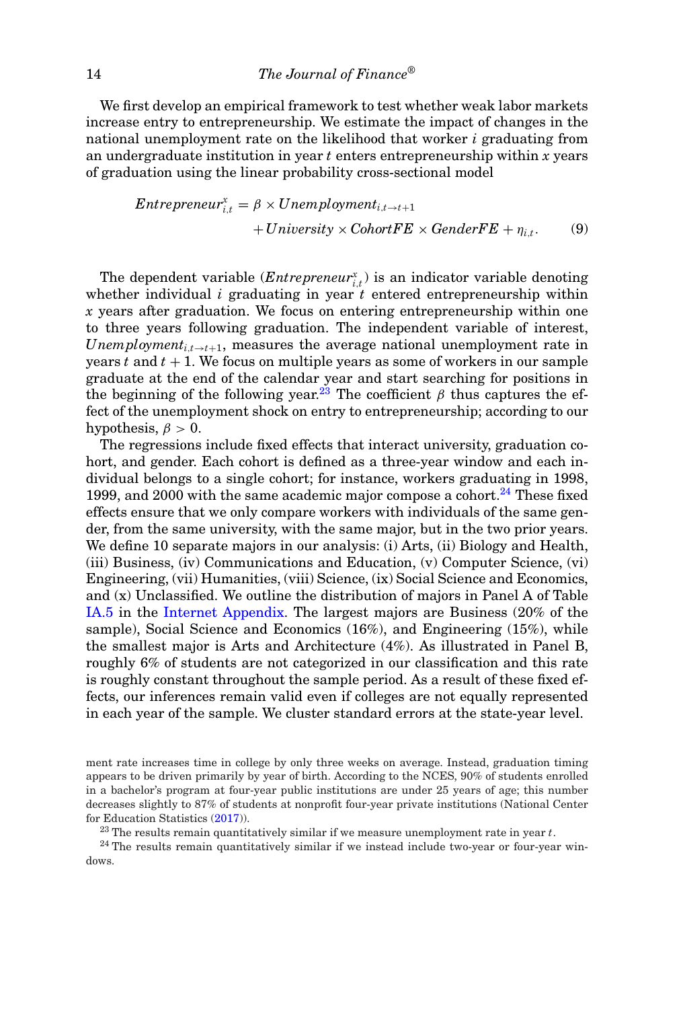We first develop an empirical framework to test whether weak labor markets increase entry to entrepreneurship. We estimate the impact of changes in the national unemployment rate on the likelihood that worker *i* graduating from an undergraduate institution in year *t* enters entrepreneurship within *x* years of graduation using the linear probability cross-sectional model

*Enterpreneur*<sup>*x*</sup><sub>*i,t*</sub> = 
$$
\beta \times Unemployment_{i,t \to t+1}
$$
  
+ *University* × *ColortFE* × *GenderFE* +  $\eta_{i,t}$ . (9)

The dependent variable  $(Enter \, prenewr_{i,t}^x)$  is an indicator variable denoting whether individual  $i$  graduating in year  $t$  entered entrepreneurship within *x* years after graduation. We focus on entering entrepreneurship within one to three years following graduation. The independent variable of interest, *Unemployment<sub>i,t→t+1</sub>*, measures the average national unemployment rate in years  $t$  and  $t + 1$ . We focus on multiple years as some of workers in our sample graduate at the end of the calendar year and start searching for positions in the beginning of the following year.<sup>23</sup> The coefficient  $\beta$  thus captures the effect of the unemployment shock on entry to entrepreneurship; according to our hypothesis,  $\beta > 0$ .

The regressions include fixed effects that interact university, graduation cohort, and gender. Each cohort is defined as a three-year window and each individual belongs to a single cohort; for instance, workers graduating in 1998, 1999, and 2000 with the same academic major compose a cohort.<sup>24</sup> These fixed effects ensure that we only compare workers with individuals of the same gender, from the same university, with the same major, but in the two prior years. We define 10 separate majors in our analysis: (i) Arts, (ii) Biology and Health, (iii) Business, (iv) Communications and Education, (v) Computer Science, (vi) Engineering, (vii) Humanities, (viii) Science, (ix) Social Science and Economics, and (x) Unclassified. We outline the distribution of majors in Panel A of Table IA.5 in the Internet Appendix. The largest majors are Business (20% of the sample), Social Science and Economics (16%), and Engineering (15%), while the smallest major is Arts and Architecture (4%). As illustrated in Panel B, roughly 6% of students are not categorized in our classification and this rate is roughly constant throughout the sample period. As a result of these fixed effects, our inferences remain valid even if colleges are not equally represented in each year of the sample. We cluster standard errors at the state-year level.

ment rate increases time in college by only three weeks on average. Instead, graduation timing appears to be driven primarily by year of birth. According to the NCES, 90% of students enrolled in a bachelor's program at four-year public institutions are under 25 years of age; this number decreases slightly to 87% of students at nonprofit four-year private institutions (National Center for Education Statistics (2017)).

<sup>23</sup> The results remain quantitatively similar if we measure unemployment rate in year *t*.

<sup>24</sup> The results remain quantitatively similar if we instead include two-year or four-year windows.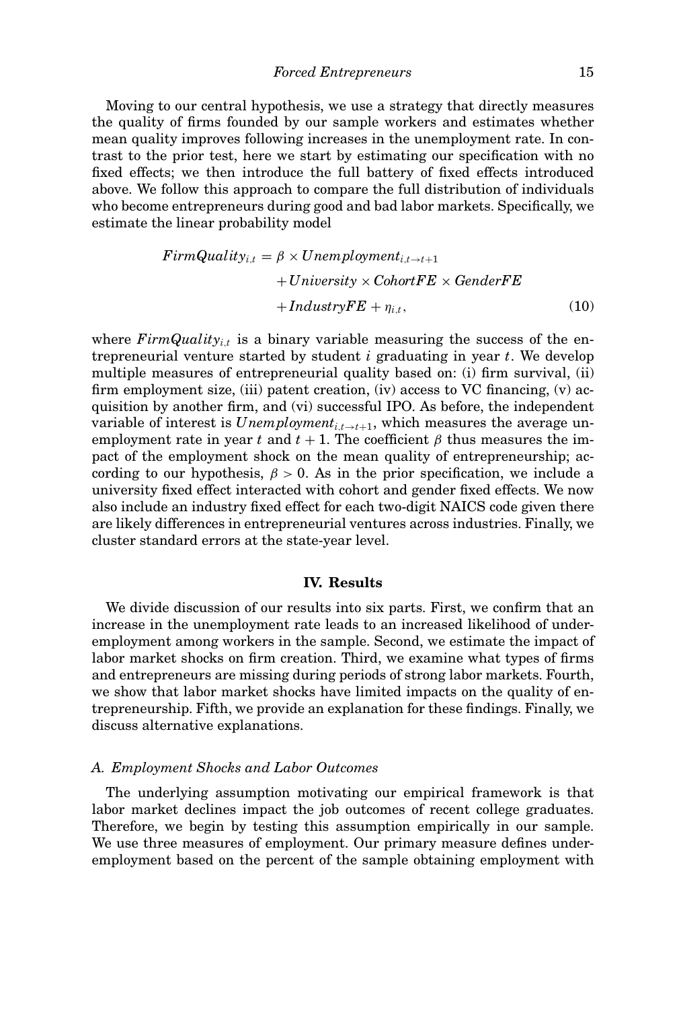Moving to our central hypothesis, we use a strategy that directly measures the quality of firms founded by our sample workers and estimates whether mean quality improves following increases in the unemployment rate. In contrast to the prior test, here we start by estimating our specification with no fixed effects; we then introduce the full battery of fixed effects introduced above. We follow this approach to compare the full distribution of individuals who become entrepreneurs during good and bad labor markets. Specifically, we estimate the linear probability model

$$
FirmQuality_{i,t} = \beta \times Unemployment_{i,t \to t+1}
$$
  
+University × CohortFE × GenderFE  
+IndustryFE +  $\eta_{i,t}$ , (10)

where  $FirmQuality_{i,t}$  is a binary variable measuring the success of the entrepreneurial venture started by student *i* graduating in year *t*. We develop multiple measures of entrepreneurial quality based on: (i) firm survival, (ii) firm employment size, (iii) patent creation, (iv) access to VC financing, (v) acquisition by another firm, and (vi) successful IPO. As before, the independent variable of interest is  $Unemployment_{i,t\rightarrow t+1}$ , which measures the average unemployment rate in year *t* and  $t + 1$ . The coefficient  $\beta$  thus measures the impact of the employment shock on the mean quality of entrepreneurship; according to our hypothesis,  $\beta > 0$ . As in the prior specification, we include a university fixed effect interacted with cohort and gender fixed effects. We now also include an industry fixed effect for each two-digit NAICS code given there are likely differences in entrepreneurial ventures across industries. Finally, we cluster standard errors at the state-year level.

### **IV. Results**

We divide discussion of our results into six parts. First, we confirm that an increase in the unemployment rate leads to an increased likelihood of underemployment among workers in the sample. Second, we estimate the impact of labor market shocks on firm creation. Third, we examine what types of firms and entrepreneurs are missing during periods of strong labor markets. Fourth, we show that labor market shocks have limited impacts on the quality of entrepreneurship. Fifth, we provide an explanation for these findings. Finally, we discuss alternative explanations.

### *A. Employment Shocks and Labor Outcomes*

The underlying assumption motivating our empirical framework is that labor market declines impact the job outcomes of recent college graduates. Therefore, we begin by testing this assumption empirically in our sample. We use three measures of employment. Our primary measure defines underemployment based on the percent of the sample obtaining employment with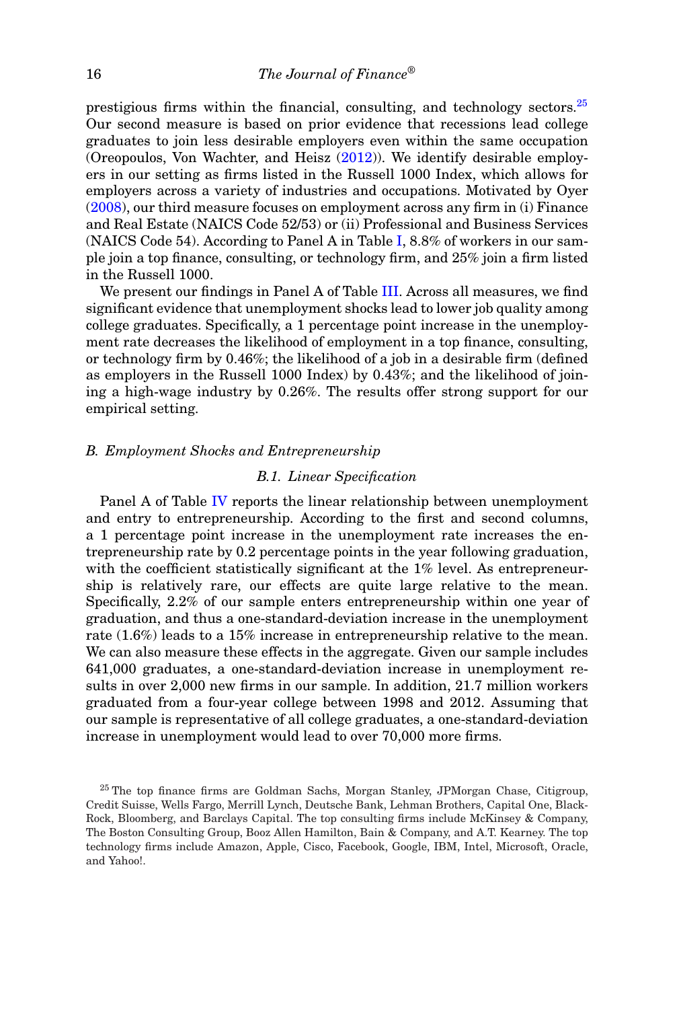prestigious firms within the financial, consulting, and technology sectors.<sup>25</sup> Our second measure is based on prior evidence that recessions lead college graduates to join less desirable employers even within the same occupation (Oreopoulos, Von Wachter, and Heisz  $(2012)$ ). We identify desirable employers in our setting as firms listed in the Russell 1000 Index, which allows for employers across a variety of industries and occupations. Motivated by Oyer (2008), our third measure focuses on employment across any firm in (i) Finance and Real Estate (NAICS Code 52/53) or (ii) Professional and Business Services (NAICS Code 54). According to Panel A in Table I, 8.8% of workers in our sample join a top finance, consulting, or technology firm, and 25% join a firm listed in the Russell 1000.

We present our findings in Panel A of Table III. Across all measures, we find significant evidence that unemployment shocks lead to lower job quality among college graduates. Specifically, a 1 percentage point increase in the unemployment rate decreases the likelihood of employment in a top finance, consulting, or technology firm by 0.46%; the likelihood of a job in a desirable firm (defined as employers in the Russell 1000 Index) by 0.43%; and the likelihood of joining a high-wage industry by 0.26%. The results offer strong support for our empirical setting.

### *B. Employment Shocks and Entrepreneurship*

### *B.1. Linear Specification*

Panel A of Table IV reports the linear relationship between unemployment and entry to entrepreneurship. According to the first and second columns, a 1 percentage point increase in the unemployment rate increases the entrepreneurship rate by 0.2 percentage points in the year following graduation, with the coefficient statistically significant at the 1% level. As entrepreneurship is relatively rare, our effects are quite large relative to the mean. Specifically, 2.2% of our sample enters entrepreneurship within one year of graduation, and thus a one-standard-deviation increase in the unemployment rate (1.6%) leads to a 15% increase in entrepreneurship relative to the mean. We can also measure these effects in the aggregate. Given our sample includes 641,000 graduates, a one-standard-deviation increase in unemployment results in over 2,000 new firms in our sample. In addition, 21.7 million workers graduated from a four-year college between 1998 and 2012. Assuming that our sample is representative of all college graduates, a one-standard-deviation increase in unemployment would lead to over 70,000 more firms.

<sup>&</sup>lt;sup>25</sup> The top finance firms are Goldman Sachs, Morgan Stanley, JPMorgan Chase, Citigroup, Credit Suisse, Wells Fargo, Merrill Lynch, Deutsche Bank, Lehman Brothers, Capital One, Black-Rock, Bloomberg, and Barclays Capital. The top consulting firms include McKinsey & Company, The Boston Consulting Group, Booz Allen Hamilton, Bain & Company, and A.T. Kearney. The top technology firms include Amazon, Apple, Cisco, Facebook, Google, IBM, Intel, Microsoft, Oracle, and Yahoo!.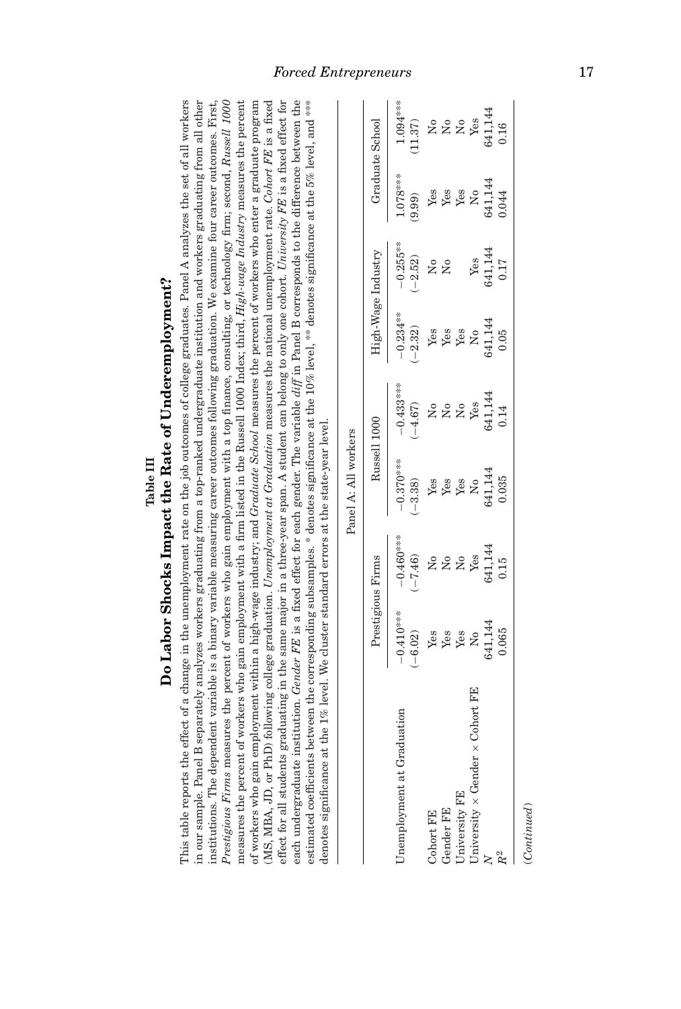| each undergraduate institution. Gender FE is a fixed effect for each gender. The variable $diff$ in Panel B corresponds to the difference between the<br>estimated coefficients between the corresponding subsamples. * denotes significance at the 10% level, ** denotes significance at the 5% level, and ***<br>measures the percent of workers who gain employment with a firm listed in the Russell 1000 Index; third, <i>High-wage Industry</i> measures the percent<br>(MS, MBA, JD, or PhD) following college graduation. <i>Unemployment at Graduation</i> measures the national unemployment rate. Cohort FE is a fixed<br>effect for all students graduating in the same major in a three-year span. A student can belong to only one cohort. University FE is a fixed effect for<br>Prestigious Firms measures the percent of workers who gain employment with a top finance, consulting, or technology firm; second, Russell 1000<br>of workers who gain employment within a high-wage industry; and <i>Gruduate School</i> measures the percent of workers who enter a graduate program<br>institutions. The dependent variable is a binary variable measuring career outcomes following graduation. We examine four career outcomes. First,<br>denotes significance at the $1\%$ level. We cluster standard errors at the state-year level. |                          |                           |                               |                                   |                                      |                           |                                            |                                                            |
|------------------------------------------------------------------------------------------------------------------------------------------------------------------------------------------------------------------------------------------------------------------------------------------------------------------------------------------------------------------------------------------------------------------------------------------------------------------------------------------------------------------------------------------------------------------------------------------------------------------------------------------------------------------------------------------------------------------------------------------------------------------------------------------------------------------------------------------------------------------------------------------------------------------------------------------------------------------------------------------------------------------------------------------------------------------------------------------------------------------------------------------------------------------------------------------------------------------------------------------------------------------------------------------------------------------------------------------------------------|--------------------------|---------------------------|-------------------------------|-----------------------------------|--------------------------------------|---------------------------|--------------------------------------------|------------------------------------------------------------|
|                                                                                                                                                                                                                                                                                                                                                                                                                                                                                                                                                                                                                                                                                                                                                                                                                                                                                                                                                                                                                                                                                                                                                                                                                                                                                                                                                            |                          |                           | Panel A: All workers          |                                   |                                      |                           |                                            |                                                            |
|                                                                                                                                                                                                                                                                                                                                                                                                                                                                                                                                                                                                                                                                                                                                                                                                                                                                                                                                                                                                                                                                                                                                                                                                                                                                                                                                                            |                          | Prestigious Firms         |                               | Russell 1000                      |                                      | High-Wage Industry        | Graduate School                            |                                                            |
| Unemployment at Graduation                                                                                                                                                                                                                                                                                                                                                                                                                                                                                                                                                                                                                                                                                                                                                                                                                                                                                                                                                                                                                                                                                                                                                                                                                                                                                                                                 | $-0.410***$<br>$(-6.02)$ | $-0.460***$<br>$(-7.46)$  | $-0.370***$<br>$(-3.38)$      | $-0.433***$<br>$(-4.67)$          | $-0.234***$<br>$(-2.32)$             | $-0.255***$<br>$(-2.52)$  | 1.078***<br>(9.99)                         | 1.094****<br>(11.37)                                       |
| Cohort FE                                                                                                                                                                                                                                                                                                                                                                                                                                                                                                                                                                                                                                                                                                                                                                                                                                                                                                                                                                                                                                                                                                                                                                                                                                                                                                                                                  | Yes                      | $\mathsf{S}^{\mathsf{o}}$ | Yes                           | ž                                 | Yes                                  | ž                         | Yes                                        | ż                                                          |
| Gender FE                                                                                                                                                                                                                                                                                                                                                                                                                                                                                                                                                                                                                                                                                                                                                                                                                                                                                                                                                                                                                                                                                                                                                                                                                                                                                                                                                  | Yes                      | $\rm \stackrel{\circ}{X}$ | Yes                           | $\rm N_{0}$                       | Yes                                  | $\mathsf{S}^{\mathsf{o}}$ | Yes<br>Yes                                 | $\stackrel{\circ}{\mathtt{z}}\stackrel{\circ}{\mathtt{x}}$ |
| University FE                                                                                                                                                                                                                                                                                                                                                                                                                                                                                                                                                                                                                                                                                                                                                                                                                                                                                                                                                                                                                                                                                                                                                                                                                                                                                                                                              | Yes                      | $\overline{M}$            | $\operatorname{\mathsf{Yes}}$ | $\rm \stackrel{\circ}{\rm \bf Z}$ | Yes                                  |                           |                                            |                                                            |
| University $\times$ Gender $\times$ Cohort FE                                                                                                                                                                                                                                                                                                                                                                                                                                                                                                                                                                                                                                                                                                                                                                                                                                                                                                                                                                                                                                                                                                                                                                                                                                                                                                              | $\tilde{S}$              | Yes                       | $\tilde{\mathsf{z}}$          | Yes                               | $\overline{\mathsf{X}}^{\mathsf{o}}$ | Yes                       | $\mathsf{S}^{\mathsf{o}}$                  | Yes                                                        |
|                                                                                                                                                                                                                                                                                                                                                                                                                                                                                                                                                                                                                                                                                                                                                                                                                                                                                                                                                                                                                                                                                                                                                                                                                                                                                                                                                            | 641,144                  | 641,144                   | 641,144                       | 641,144                           | 641,144                              | 641,144                   | 641,144                                    | 641,144                                                    |
|                                                                                                                                                                                                                                                                                                                                                                                                                                                                                                                                                                                                                                                                                                                                                                                                                                                                                                                                                                                                                                                                                                                                                                                                                                                                                                                                                            | $\sim$ $\sim$ $\sim$     | $\frac{1}{7}$             | $\sim$ oo $\approx$           | $\frac{1}{2}$                     | $\sum_{i=1}^{n}$                     | $\frac{1}{7}$             | $\begin{array}{c} 1 \\ 1 \\ 2 \end{array}$ | $\frac{1}{2}$                                              |

# Table III<br>Do Labor Shocks Impact the Rate of Underemployment? **Do Labor Shocks Impact the Rate of Underemployment?**

This table reports the effect of a change in the unemployment rate on the job outcomes of college graduates. Panel A analyzes the set of all workers in our sample. Panel B separately analyzes workers graduating from a top-ranked undergraduate institution and workers graduating from all other This table reports the effect of a change in the unemployment rate on the job outcomes of college graduates. Panel A analyzes the set of all workers in our sample. Panel B separately analyzes workers graduating from a top-ranked undergraduate institution and workers graduating from all other

 $(Continued) % \begin{minipage}[c]{0.5\linewidth} \centering \includegraphics[width=\textwidth]{figures/cross-lingual-2.png} \caption{The first two different values of the target and the target is the same as a function of the target is the same as a function of the target is the same as a function of the target is the same as a function of the target is the same as a function of the target is the same as a function of the target is the same as a function of the target is the same as a function of the target is the same as a function of the target is the same as a function of the target is the same as a function of the target is the same as a function of the target is the same as a function of the target is the same as a function of the target is the same as a function of the target is the same as a function of the target is the same as a function of the target is the same as a function of the target is the$ (*Continued*)

 $\ensuremath{R^2}$ 

*R*2 0.065 0.15 0.035 0.14 0.05 0.17 0.044 0.16

0.035

 $0.15$ 

0.065

0.16

0.044

 $0.17$ 

 $0.05$ 

0.14

## *Forced Entrepreneurs* 17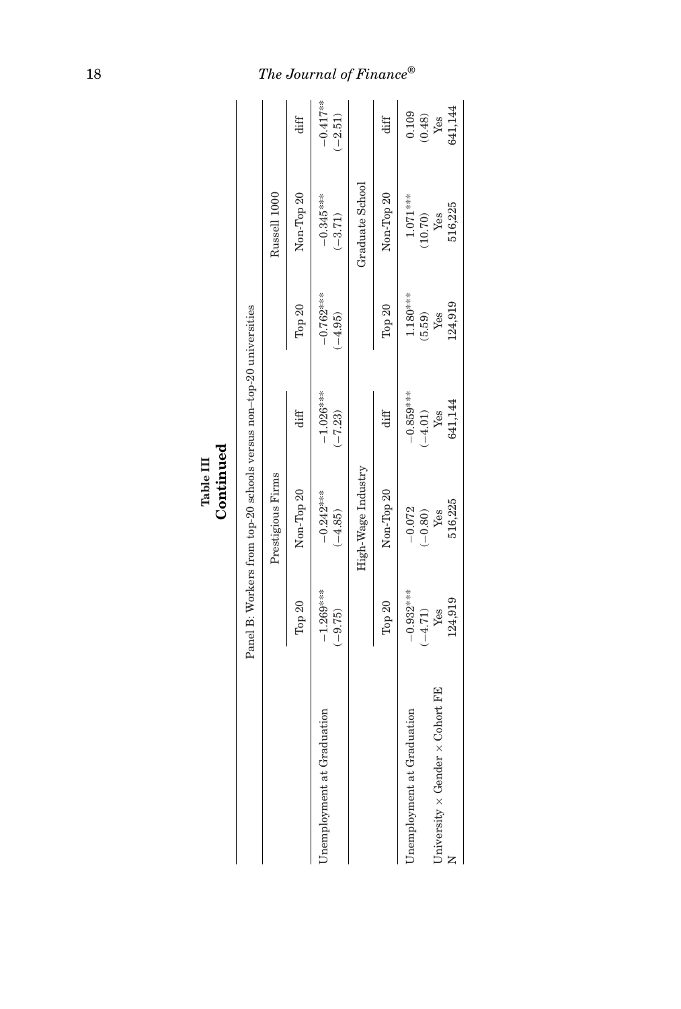|   | ٠ |
|---|---|
| ٥ |   |

|                                               |                          | Panel B: Workers from top-20 schools versus non-top-20 universities |                          |                          | Russell 1000             |                                 |
|-----------------------------------------------|--------------------------|---------------------------------------------------------------------|--------------------------|--------------------------|--------------------------|---------------------------------|
|                                               |                          | Prestigious Firms                                                   |                          |                          |                          |                                 |
|                                               | Top 20                   | Non-Top 20                                                          | diff                     | Top $20$                 | Non-Top 20               | diff                            |
| Unemployment at Graduation                    | $-1.269***$<br>$(-9.75)$ | $-0.242***$<br>$(-4.85)$                                            | $-1.026***$<br>$(-7.23)$ | $-0.762***$<br>$(-4.95)$ | $-0.345***$<br>$(-3.71)$ | $-0.417***$<br>$(-2.51)$        |
|                                               |                          | High-Wage Industry                                                  |                          |                          | Graduate School          |                                 |
|                                               | Top 20                   | Non-Top 20                                                          | diff                     | Top $20$                 | Non-Top 20               | diff                            |
| Unemployment at Graduation                    | $-0.932***$<br>$(-4.71)$ | $-0.072$<br>$(-0.80)$                                               | $-0.859***$<br>$(-4.01)$ | $1.180***$<br>(5.59)     | $1.071***$<br>(10.70)    | 0.109                           |
| University $\times$ Gender $\times$ Cohort FE | 124,919<br>Yes           | 516,225<br>Yes                                                      | 641,144<br>${\it Yes}$   | 124,919<br>Yes           | 516,225<br>Yes           | 641,144<br>$\frac{(0.48)}{Yes}$ |

### 18 *The Journal of Finance ®*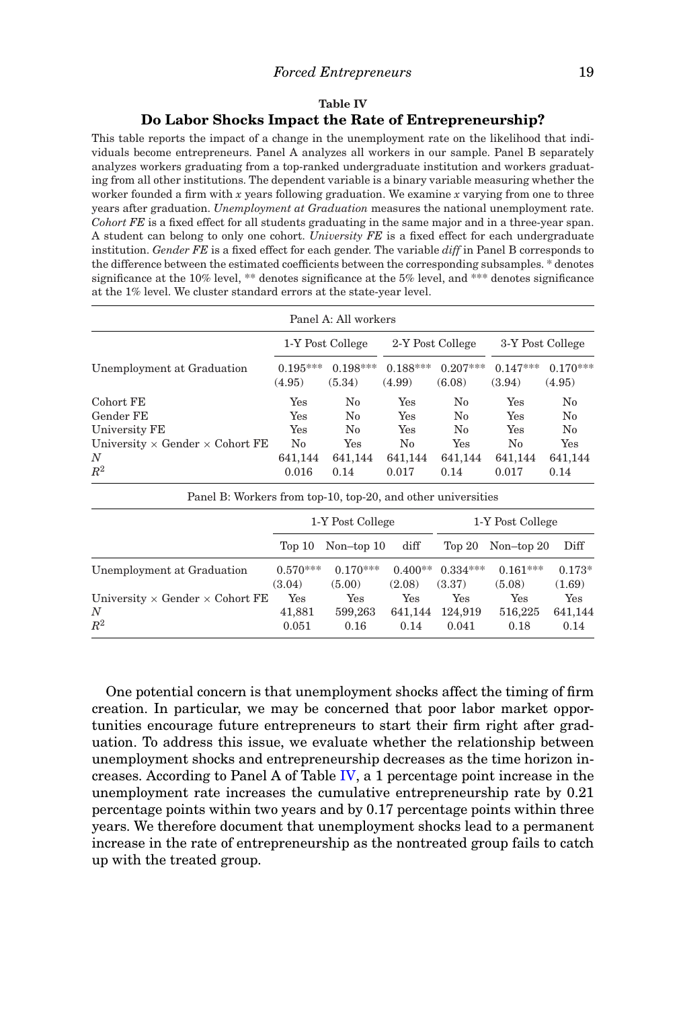### *Forced Entrepreneurs* 19

### **Table IV Do Labor Shocks Impact the Rate of Entrepreneurship?**

This table reports the impact of a change in the unemployment rate on the likelihood that individuals become entrepreneurs. Panel A analyzes all workers in our sample. Panel B separately analyzes workers graduating from a top-ranked undergraduate institution and workers graduating from all other institutions. The dependent variable is a binary variable measuring whether the worker founded a firm with *x* years following graduation. We examine *x* varying from one to three years after graduation. *Unemployment at Graduation* measures the national unemployment rate. *Cohort FE* is a fixed effect for all students graduating in the same major and in a three-year span. A student can belong to only one cohort. *University FE* is a fixed effect for each undergraduate institution. *Gender FE* is a fixed effect for each gender. The variable *diff* in Panel B corresponds to the difference between the estimated coefficients between the corresponding subsamples. \* denotes significance at the 10% level, \*\* denotes significance at the 5% level, and \*\*\* denotes significance at the 1% level. We cluster standard errors at the state-year level.

|                                                                |                      |                                |                                      |                                | 3-Y Post College       |
|----------------------------------------------------------------|----------------------|--------------------------------|--------------------------------------|--------------------------------|------------------------|
| $0.195***$<br>(4.95)                                           | $0.198***$<br>(5.34) | $0.188***$<br>(4.99)           | $0.207***$<br>(6.08)                 | $0.147***$<br>(3.94)           | $0.170***$<br>(4.95)   |
| Yes                                                            | No                   | Yes                            | No                                   | Yes                            | $\rm No$<br>$\rm No$   |
| Yes                                                            | N <sub>0</sub>       | Yes                            | N <sub>0</sub>                       | Yes                            | $\rm No$               |
| University $\times$ Gender $\times$ Cohort FE<br>No<br>641,144 | Yes<br>641,144       | N <sub>0</sub><br>641,144      | Yes<br>641,144                       | No<br>641,144                  | Yes<br>641,144<br>0.14 |
|                                                                | <b>Yes</b><br>0.016  | 1-Y Post College<br>No<br>0.14 | Panel A: All workers<br>Yes<br>0.017 | 2-Y Post College<br>No<br>0.14 | Yes<br>0.017           |

| Panel B: Workers from top-10, top-20, and other universities |                      |                      |                     |                      |                      |                    |
|--------------------------------------------------------------|----------------------|----------------------|---------------------|----------------------|----------------------|--------------------|
|                                                              |                      | 1-Y Post College     |                     |                      | 1-Y Post College     |                    |
|                                                              | Top $10$             | $Non-top 10$         | diff                | Top 20               | Non-top $20$         | Diff               |
| Unemployment at Graduation                                   | $0.570***$<br>(3.04) | $0.170***$<br>(5.00) | $0.400**$<br>(2.08) | $0.334***$<br>(3.37) | $0.161***$<br>(5.08) | $0.173*$<br>(1.69) |
| University $\times$ Gender $\times$ Cohort FE                | Yes                  | Yes                  | Yes                 | Yes                  | Yes                  | Yes                |
| N                                                            | 41,881               | 599,263              | 641.144             | 124.919              | 516,225              | 641,144            |
| $R^2$                                                        | 0.051                | 0.16                 | 0.14                | 0.041                | 0.18                 | 0.14               |

One potential concern is that unemployment shocks affect the timing of firm creation. In particular, we may be concerned that poor labor market opportunities encourage future entrepreneurs to start their firm right after graduation. To address this issue, we evaluate whether the relationship between unemployment shocks and entrepreneurship decreases as the time horizon increases. According to Panel A of Table IV, a 1 percentage point increase in the unemployment rate increases the cumulative entrepreneurship rate by 0.21 percentage points within two years and by 0.17 percentage points within three years. We therefore document that unemployment shocks lead to a permanent increase in the rate of entrepreneurship as the nontreated group fails to catch up with the treated group.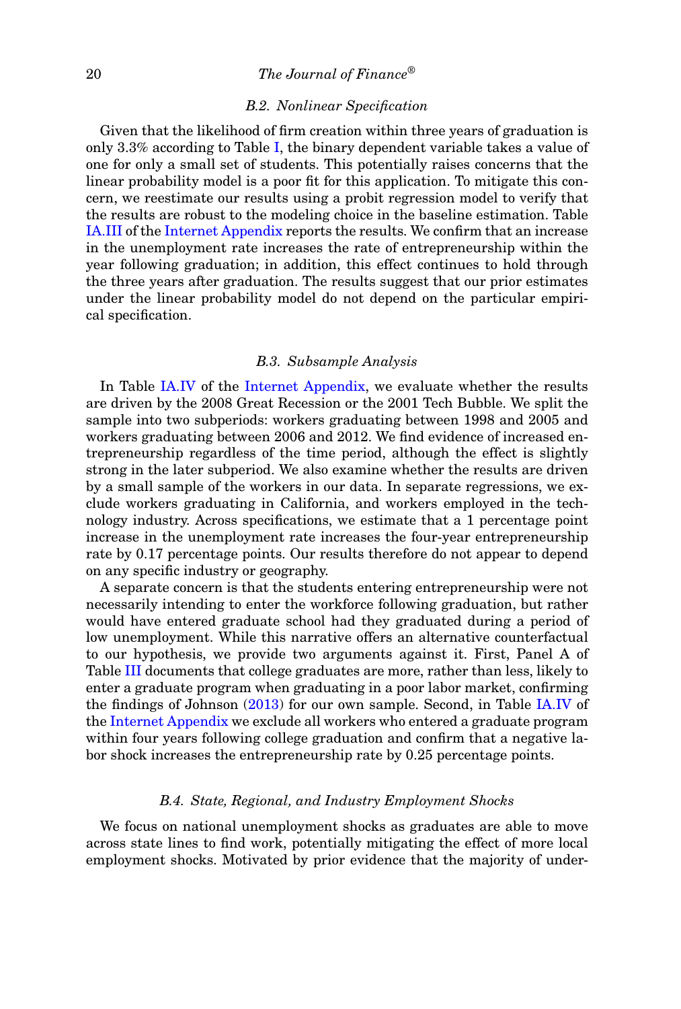### 20 *The Journal of Finance®*

### *B.2. Nonlinear Specification*

Given that the likelihood of firm creation within three years of graduation is only 3.3% according to Table I, the binary dependent variable takes a value of one for only a small set of students. This potentially raises concerns that the linear probability model is a poor fit for this application. To mitigate this concern, we reestimate our results using a probit regression model to verify that the results are robust to the modeling choice in the baseline estimation. Table IA.III of the Internet Appendix reports the results. We confirm that an increase in the unemployment rate increases the rate of entrepreneurship within the year following graduation; in addition, this effect continues to hold through the three years after graduation. The results suggest that our prior estimates under the linear probability model do not depend on the particular empirical specification.

### *B.3. Subsample Analysis*

In Table IA.IV of the Internet Appendix, we evaluate whether the results are driven by the 2008 Great Recession or the 2001 Tech Bubble. We split the sample into two subperiods: workers graduating between 1998 and 2005 and workers graduating between 2006 and 2012. We find evidence of increased entrepreneurship regardless of the time period, although the effect is slightly strong in the later subperiod. We also examine whether the results are driven by a small sample of the workers in our data. In separate regressions, we exclude workers graduating in California, and workers employed in the technology industry. Across specifications, we estimate that a 1 percentage point increase in the unemployment rate increases the four-year entrepreneurship rate by 0.17 percentage points. Our results therefore do not appear to depend on any specific industry or geography.

A separate concern is that the students entering entrepreneurship were not necessarily intending to enter the workforce following graduation, but rather would have entered graduate school had they graduated during a period of low unemployment. While this narrative offers an alternative counterfactual to our hypothesis, we provide two arguments against it. First, Panel A of Table III documents that college graduates are more, rather than less, likely to enter a graduate program when graduating in a poor labor market, confirming the findings of Johnson (2013) for our own sample. Second, in Table IA.IV of the Internet Appendix we exclude all workers who entered a graduate program within four years following college graduation and confirm that a negative labor shock increases the entrepreneurship rate by 0.25 percentage points.

### *B.4. State, Regional, and Industry Employment Shocks*

We focus on national unemployment shocks as graduates are able to move across state lines to find work, potentially mitigating the effect of more local employment shocks. Motivated by prior evidence that the majority of under-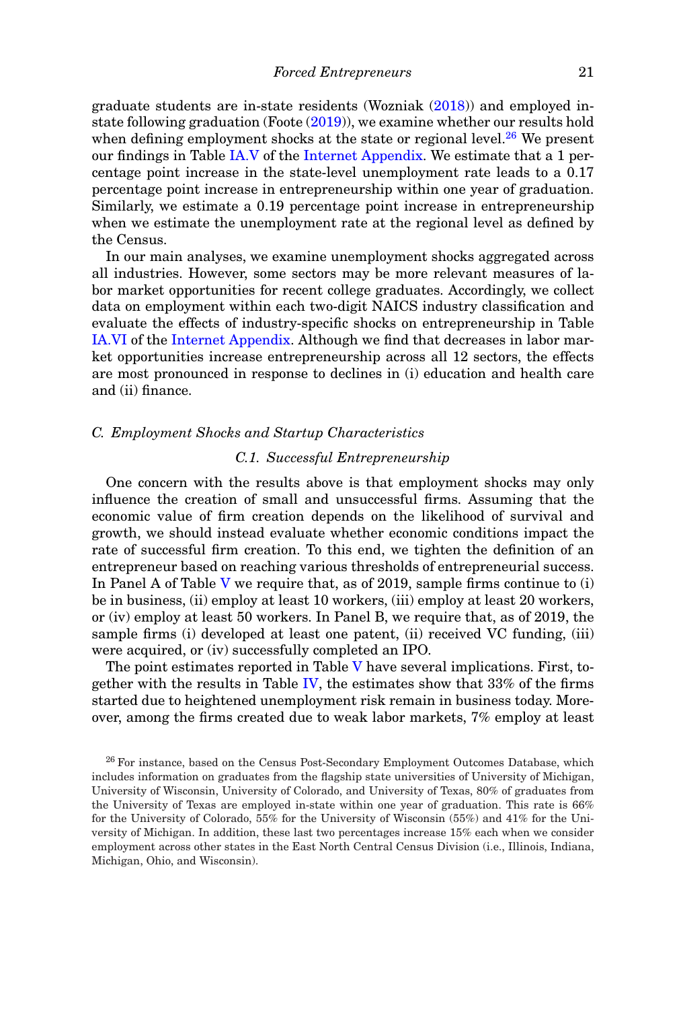graduate students are in-state residents (Wozniak (2018)) and employed instate following graduation (Foote (2019)), we examine whether our results hold when defining employment shocks at the state or regional level. $^{26}$  We present our findings in Table IA.V of the Internet Appendix. We estimate that a 1 percentage point increase in the state-level unemployment rate leads to a 0.17 percentage point increase in entrepreneurship within one year of graduation. Similarly, we estimate a 0.19 percentage point increase in entrepreneurship when we estimate the unemployment rate at the regional level as defined by the Census.

In our main analyses, we examine unemployment shocks aggregated across all industries. However, some sectors may be more relevant measures of labor market opportunities for recent college graduates. Accordingly, we collect data on employment within each two-digit NAICS industry classification and evaluate the effects of industry-specific shocks on entrepreneurship in Table IA.VI of the Internet Appendix. Although we find that decreases in labor market opportunities increase entrepreneurship across all 12 sectors, the effects are most pronounced in response to declines in (i) education and health care and (ii) finance.

### *C. Employment Shocks and Startup Characteristics*

### *C.1. Successful Entrepreneurship*

One concern with the results above is that employment shocks may only influence the creation of small and unsuccessful firms. Assuming that the economic value of firm creation depends on the likelihood of survival and growth, we should instead evaluate whether economic conditions impact the rate of successful firm creation. To this end, we tighten the definition of an entrepreneur based on reaching various thresholds of entrepreneurial success. In Panel A of Table V we require that, as of 2019, sample firms continue to (i) be in business, (ii) employ at least 10 workers, (iii) employ at least 20 workers, or (iv) employ at least 50 workers. In Panel B, we require that, as of 2019, the sample firms (i) developed at least one patent, (ii) received VC funding, (iii) were acquired, or (iv) successfully completed an IPO.

The point estimates reported in Table V have several implications. First, together with the results in Table IV, the estimates show that  $33\%$  of the firms started due to heightened unemployment risk remain in business today. Moreover, among the firms created due to weak labor markets, 7% employ at least

<sup>26</sup> For instance, based on the Census Post-Secondary Employment Outcomes Database, which includes information on graduates from the flagship state universities of University of Michigan, University of Wisconsin, University of Colorado, and University of Texas, 80% of graduates from the University of Texas are employed in-state within one year of graduation. This rate is 66% for the University of Colorado, 55% for the University of Wisconsin (55%) and 41% for the University of Michigan. In addition, these last two percentages increase 15% each when we consider employment across other states in the East North Central Census Division (i.e., Illinois, Indiana, Michigan, Ohio, and Wisconsin).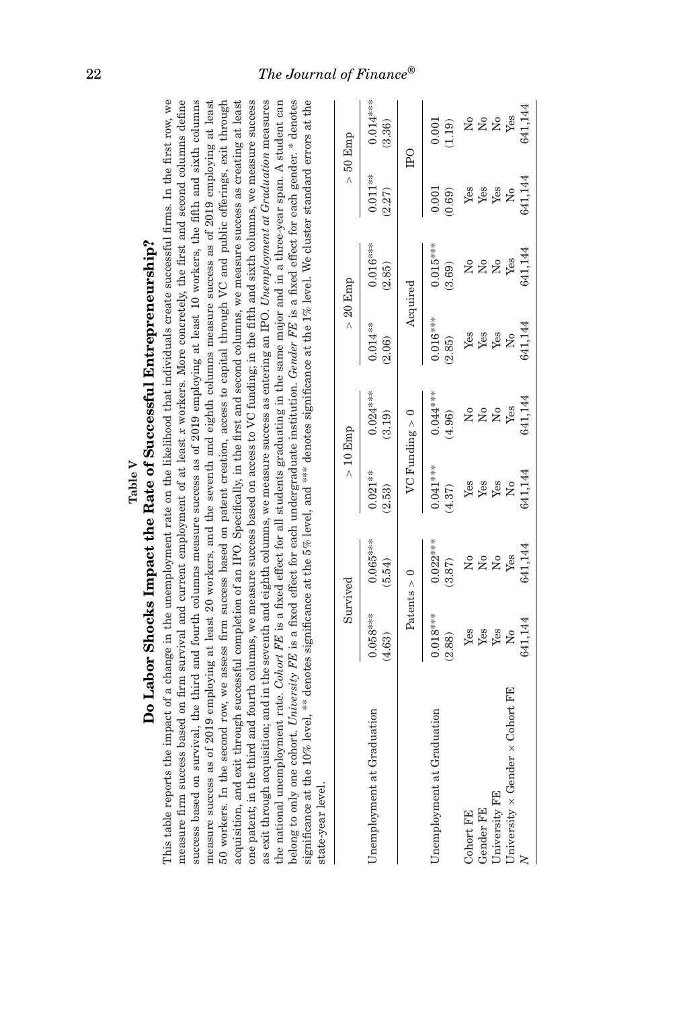|                                                                                                                                                                                                                                                                                                                                                                                                                                                                                                                                                                                                                                                                                                                                                                                                                                                                                                                                                                                                                                                                                                                                                                                                                                                                                                                                                                                                                                                                               |                      | Do Labor Shocks Impact the Rate of Successful Entrepreneurship? |                      |                           |                      |                                                                                                                                                                                                                                                |                      |                                |
|-------------------------------------------------------------------------------------------------------------------------------------------------------------------------------------------------------------------------------------------------------------------------------------------------------------------------------------------------------------------------------------------------------------------------------------------------------------------------------------------------------------------------------------------------------------------------------------------------------------------------------------------------------------------------------------------------------------------------------------------------------------------------------------------------------------------------------------------------------------------------------------------------------------------------------------------------------------------------------------------------------------------------------------------------------------------------------------------------------------------------------------------------------------------------------------------------------------------------------------------------------------------------------------------------------------------------------------------------------------------------------------------------------------------------------------------------------------------------------|----------------------|-----------------------------------------------------------------|----------------------|---------------------------|----------------------|------------------------------------------------------------------------------------------------------------------------------------------------------------------------------------------------------------------------------------------------|----------------------|--------------------------------|
| measure firm success based on firm survival and current employment of at least x workers. More concretely, the first and second columns define<br>$50$ workers. In the second row, we assess firm success based on patent creation, access to capital through VC and public offerings, exit through<br>success based on survival, the third and fourth columns measure success as of 2019 employing at least 10 workers, the fifth and sixth columns<br>one patent; in the third and fourth columns, we measure success based on access to VC funding; in the fifth and sixth columns, we measure success<br>as exit through acquisition; and in the seventh and eighth columns, we measure success as entering an IPO. Unemployment at Graduation measures<br>significance at the 10% level, ** denotes significance at the 5% level, and *** denotes significance at the 1% level. We cluster standard errors at the<br>the national unemployment rate. Cohort FE is a fixed effect for all students graduating in the same major and in a three-year span. A student can<br>belong to only one cohort. University FE is a fixed effect for each undergraduate institution. Gender FE is a fixed effect for each gender. * denotes<br>acquisition, and exit through successful completion of an IPO. Specifically, in the first and second columns, we measure success as creating at least<br>This table reports the imp<br>measure success as of 201<br>state-year level. |                      |                                                                 |                      |                           |                      | act of a change in the unemployment rate on the likelihood that individuals create successful firms. In the first row, we<br>9 employing at least 20 workers, and the seventh and eighth columns measure success as of 2019 employing at least |                      |                                |
|                                                                                                                                                                                                                                                                                                                                                                                                                                                                                                                                                                                                                                                                                                                                                                                                                                                                                                                                                                                                                                                                                                                                                                                                                                                                                                                                                                                                                                                                               |                      | Survived                                                        |                      | $>10$ Emp                 |                      | $> 20$ Emp                                                                                                                                                                                                                                     |                      | $>50$ Emp                      |
| Unemployment at Graduation                                                                                                                                                                                                                                                                                                                                                                                                                                                                                                                                                                                                                                                                                                                                                                                                                                                                                                                                                                                                                                                                                                                                                                                                                                                                                                                                                                                                                                                    | $0.058***$<br>(4.63) | $0.065***$<br>(5.54)                                            | $0.021***$<br>(2.53) | $0.024***$<br>(3.19)      | $0.014***$<br>(2.06) | $0.016***$<br>(2.85)                                                                                                                                                                                                                           | $0.011***$<br>(2.27) | $0.014***$<br>(3.36)           |
|                                                                                                                                                                                                                                                                                                                                                                                                                                                                                                                                                                                                                                                                                                                                                                                                                                                                                                                                                                                                                                                                                                                                                                                                                                                                                                                                                                                                                                                                               |                      | Patents $> 0$                                                   |                      | $VC$ Funding $> 0$        |                      | Acquired                                                                                                                                                                                                                                       |                      | $_{\rm IPO}$                   |
| Unemployment at Graduation                                                                                                                                                                                                                                                                                                                                                                                                                                                                                                                                                                                                                                                                                                                                                                                                                                                                                                                                                                                                                                                                                                                                                                                                                                                                                                                                                                                                                                                    | $0.018***$<br>(2.88) | $0.022***$<br>(3.87)                                            | $0.041***$<br>(4.37) | $0.044***$<br>(4.96)      | $0.016***$<br>(2.85) | $0.015***$<br>(3.69)                                                                                                                                                                                                                           | 0.001<br>(0.69)      | 0.001<br>(1.19)                |
| Cohort FE                                                                                                                                                                                                                                                                                                                                                                                                                                                                                                                                                                                                                                                                                                                                                                                                                                                                                                                                                                                                                                                                                                                                                                                                                                                                                                                                                                                                                                                                     | Yes                  | ž                                                               | Yes                  | ž                         | Yes                  | ż                                                                                                                                                                                                                                              | Yes                  | ž                              |
| Gender FE                                                                                                                                                                                                                                                                                                                                                                                                                                                                                                                                                                                                                                                                                                                                                                                                                                                                                                                                                                                                                                                                                                                                                                                                                                                                                                                                                                                                                                                                     | Yes                  | $\mathsf{S}^{\mathsf{o}}$                                       | Yes                  | $\mathsf{S}^{\mathsf{o}}$ | Yes                  | $\mathsf{S}^{\mathsf{o}}$                                                                                                                                                                                                                      | ${\rm Yes}$          | $\stackrel{\circ}{\mathbf{Z}}$ |
| University FE                                                                                                                                                                                                                                                                                                                                                                                                                                                                                                                                                                                                                                                                                                                                                                                                                                                                                                                                                                                                                                                                                                                                                                                                                                                                                                                                                                                                                                                                 | Yes                  | $\mathsf{S}^{\mathsf{o}}$                                       | Yes                  | ž                         | Yes                  | $\tilde{X}^{\circ}$                                                                                                                                                                                                                            | Yes                  | $\Sigma$                       |
| University $\times$ Gender $\times$ Cohort FE                                                                                                                                                                                                                                                                                                                                                                                                                                                                                                                                                                                                                                                                                                                                                                                                                                                                                                                                                                                                                                                                                                                                                                                                                                                                                                                                                                                                                                 | ż                    | Yes                                                             | ż                    | Yes                       | $\mathsf{S}^{\circ}$ | Yes                                                                                                                                                                                                                                            | $\mathsf{S}^{\circ}$ | Yes                            |
|                                                                                                                                                                                                                                                                                                                                                                                                                                                                                                                                                                                                                                                                                                                                                                                                                                                                                                                                                                                                                                                                                                                                                                                                                                                                                                                                                                                                                                                                               | 641,144              | 641,144                                                         | 641,144              | 641,144                   | 641,144              | 641,144                                                                                                                                                                                                                                        | 641,144              | 641,144                        |

*N* 641,144 641,144 641,144 641,144 641,144 641,144 641,144 641,144

**Table V**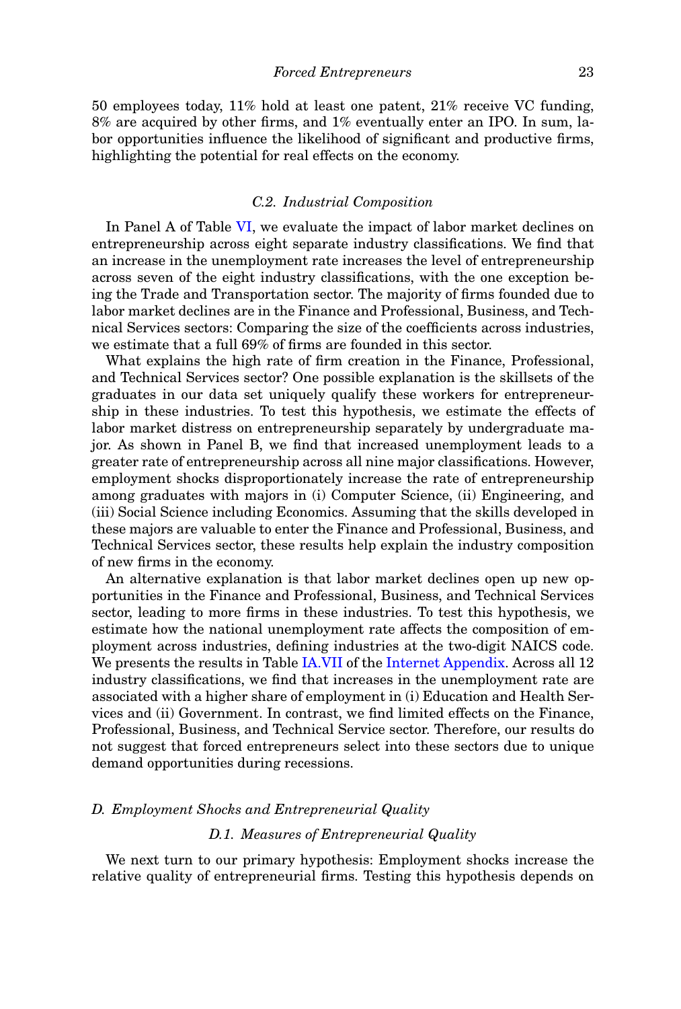50 employees today, 11% hold at least one patent, 21% receive VC funding, 8% are acquired by other firms, and 1% eventually enter an IPO. In sum, labor opportunities influence the likelihood of significant and productive firms, highlighting the potential for real effects on the economy.

### *C.2. Industrial Composition*

In Panel A of Table VI, we evaluate the impact of labor market declines on entrepreneurship across eight separate industry classifications. We find that an increase in the unemployment rate increases the level of entrepreneurship across seven of the eight industry classifications, with the one exception being the Trade and Transportation sector. The majority of firms founded due to labor market declines are in the Finance and Professional, Business, and Technical Services sectors: Comparing the size of the coefficients across industries, we estimate that a full 69% of firms are founded in this sector.

What explains the high rate of firm creation in the Finance, Professional, and Technical Services sector? One possible explanation is the skillsets of the graduates in our data set uniquely qualify these workers for entrepreneurship in these industries. To test this hypothesis, we estimate the effects of labor market distress on entrepreneurship separately by undergraduate major. As shown in Panel B, we find that increased unemployment leads to a greater rate of entrepreneurship across all nine major classifications. However, employment shocks disproportionately increase the rate of entrepreneurship among graduates with majors in (i) Computer Science, (ii) Engineering, and (iii) Social Science including Economics. Assuming that the skills developed in these majors are valuable to enter the Finance and Professional, Business, and Technical Services sector, these results help explain the industry composition of new firms in the economy.

An alternative explanation is that labor market declines open up new opportunities in the Finance and Professional, Business, and Technical Services sector, leading to more firms in these industries. To test this hypothesis, we estimate how the national unemployment rate affects the composition of employment across industries, defining industries at the two-digit NAICS code. We presents the results in Table IA.VII of the Internet Appendix. Across all 12 industry classifications, we find that increases in the unemployment rate are associated with a higher share of employment in (i) Education and Health Services and (ii) Government. In contrast, we find limited effects on the Finance, Professional, Business, and Technical Service sector. Therefore, our results do not suggest that forced entrepreneurs select into these sectors due to unique demand opportunities during recessions.

### *D. Employment Shocks and Entrepreneurial Quality*

### *D.1. Measures of Entrepreneurial Quality*

We next turn to our primary hypothesis: Employment shocks increase the relative quality of entrepreneurial firms. Testing this hypothesis depends on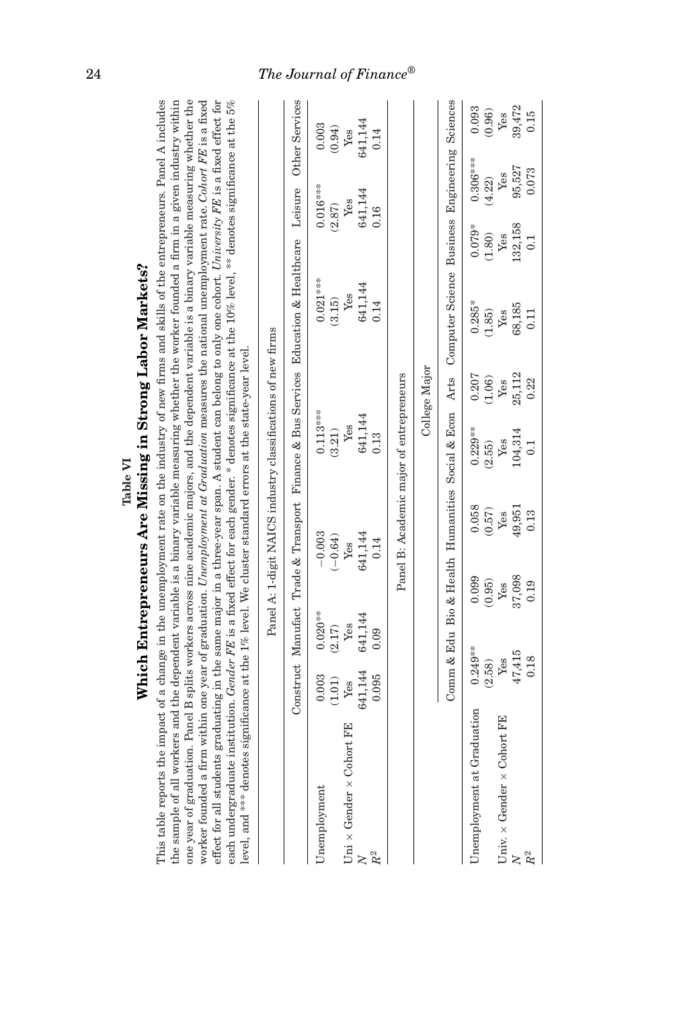|                                                                                                                                                                                                                                                                                                                                                                                                                                                                                                                                                                                                                                                                                                                                                                                                                                                                                                                                                                          |                                                              | Other Services                                                                     | 0.003        | (0.94)    | ${\it Yes}$                            | 641,144 | 0.14  |                                          |               | Sciences                           | 0.093<br>(0.96)            | Yes                                      | 39,472<br>0.15              |  |
|--------------------------------------------------------------------------------------------------------------------------------------------------------------------------------------------------------------------------------------------------------------------------------------------------------------------------------------------------------------------------------------------------------------------------------------------------------------------------------------------------------------------------------------------------------------------------------------------------------------------------------------------------------------------------------------------------------------------------------------------------------------------------------------------------------------------------------------------------------------------------------------------------------------------------------------------------------------------------|--------------------------------------------------------------|------------------------------------------------------------------------------------|--------------|-----------|----------------------------------------|---------|-------|------------------------------------------|---------------|------------------------------------|----------------------------|------------------------------------------|-----------------------------|--|
|                                                                                                                                                                                                                                                                                                                                                                                                                                                                                                                                                                                                                                                                                                                                                                                                                                                                                                                                                                          |                                                              |                                                                                    |              |           |                                        |         |       |                                          |               | Engineering                        | $0.306***$                 | Yes                                      | 95,527<br>0.073             |  |
|                                                                                                                                                                                                                                                                                                                                                                                                                                                                                                                                                                                                                                                                                                                                                                                                                                                                                                                                                                          |                                                              | Leisure                                                                            | $0.016***$   | (2.87)    | Yes                                    | 641,144 | 0.16  |                                          |               |                                    | (4.22)                     |                                          |                             |  |
|                                                                                                                                                                                                                                                                                                                                                                                                                                                                                                                                                                                                                                                                                                                                                                                                                                                                                                                                                                          |                                                              |                                                                                    |              |           |                                        |         |       |                                          |               |                                    | $0.079*$<br>(1.80)         | ${\it Yes}$                              | 132,158<br>$\overline{0}$ : |  |
|                                                                                                                                                                                                                                                                                                                                                                                                                                                                                                                                                                                                                                                                                                                                                                                                                                                                                                                                                                          |                                                              | Construct Manufact Trade & Transport Finance & Bus Services Education & Healthcare | $0.021***$   | (3.15)    | Yes                                    | 641,144 | 0.14  |                                          |               | Computer Science Business          | $0.285*$<br>(1.85)         | ${\rm Yes}$                              | 68,185<br>0.11              |  |
|                                                                                                                                                                                                                                                                                                                                                                                                                                                                                                                                                                                                                                                                                                                                                                                                                                                                                                                                                                          |                                                              |                                                                                    |              |           |                                        |         |       |                                          | College Major | Arts                               | 0.207<br>(1.06)            | Yes                                      | 25,112<br>0.22              |  |
| ificance at the 1% level. We cluster standard errors at the state-year level.                                                                                                                                                                                                                                                                                                                                                                                                                                                                                                                                                                                                                                                                                                                                                                                                                                                                                            | Panel A: 1-digit NAICS industry classifications of new firms |                                                                                    | $0.113***$   | (3.21)    | Yes                                    | 641,144 | 0.13  | Panel B: Academic major of entrepreneurs |               | Social & Econ                      | $0.229**$<br>(2.55)        | Yes                                      | 104,314<br>$\overline{0.1}$ |  |
|                                                                                                                                                                                                                                                                                                                                                                                                                                                                                                                                                                                                                                                                                                                                                                                                                                                                                                                                                                          |                                                              |                                                                                    | $-0.003$     | $(-0.64)$ | Yes                                    | 641,144 | 0.14  |                                          |               | Comm & Edu Bio & Health Humanities | 0.058<br>$(0.57)$          | Yes                                      | 49,951<br>0.13              |  |
|                                                                                                                                                                                                                                                                                                                                                                                                                                                                                                                                                                                                                                                                                                                                                                                                                                                                                                                                                                          |                                                              |                                                                                    |              |           |                                        |         |       |                                          |               |                                    | 0.099<br>(0.95)            | ${\it Yes}$                              | 37,098<br>0.19              |  |
|                                                                                                                                                                                                                                                                                                                                                                                                                                                                                                                                                                                                                                                                                                                                                                                                                                                                                                                                                                          |                                                              |                                                                                    | $0.020**$    | (2.17)    | Yes                                    | 641,144 | 0.09  |                                          |               |                                    |                            |                                          |                             |  |
|                                                                                                                                                                                                                                                                                                                                                                                                                                                                                                                                                                                                                                                                                                                                                                                                                                                                                                                                                                          |                                                              |                                                                                    | 0.003        | $(1.01)$  | Yes                                    | 641,144 | 0.095 |                                          |               |                                    | $0.249**$<br>(2.58)        | Yes                                      | 47,415<br>0.18              |  |
| effect for all students graduating in the same major in a three-year span. A student can belong to only one cohort. University FE is a fixed effect for<br>This table reports the impact of a change in the unemployment rate on the industry of new firms and skills of the entrepreneurs. Panel A includes<br>one year of graduation. Panel B splits workers across nine academic majors, and the dependent variable is a binary variable measuring whether the<br>the sample of all workers and the dependent variable is a binary variable measuring whether the worker founded a firm in a given industry within<br>worker founded a firm within one year of graduation. <i>Unemployment at Graduation</i> measures the national unemployment rate. Cohort FE is a fixed<br>each undergraduate institution. Gender FE is a fixed effect for each gender. * denotes significance at the 10% level, ** denotes significance at the 5%<br>level, and *** denotes sign: |                                                              |                                                                                    | Unemployment |           | Uni $\times$ Gender $\times$ Cohort FE |         |       |                                          |               |                                    | Unemployment at Graduation | Univ. $\times$ Gender $\times$ Cohort FE |                             |  |
|                                                                                                                                                                                                                                                                                                                                                                                                                                                                                                                                                                                                                                                                                                                                                                                                                                                                                                                                                                          |                                                              |                                                                                    |              |           |                                        |         | $R^2$ |                                          |               |                                    |                            |                                          |                             |  |

Table VI Table Wissing in Strong Labor Markets?<br>Which Entrepreneurs Are Missing in Strong Labor Markets? **Which Entrepreneurs Are Missing in Strong Labor Markets?**

### 24 *The Journal of Finance ®*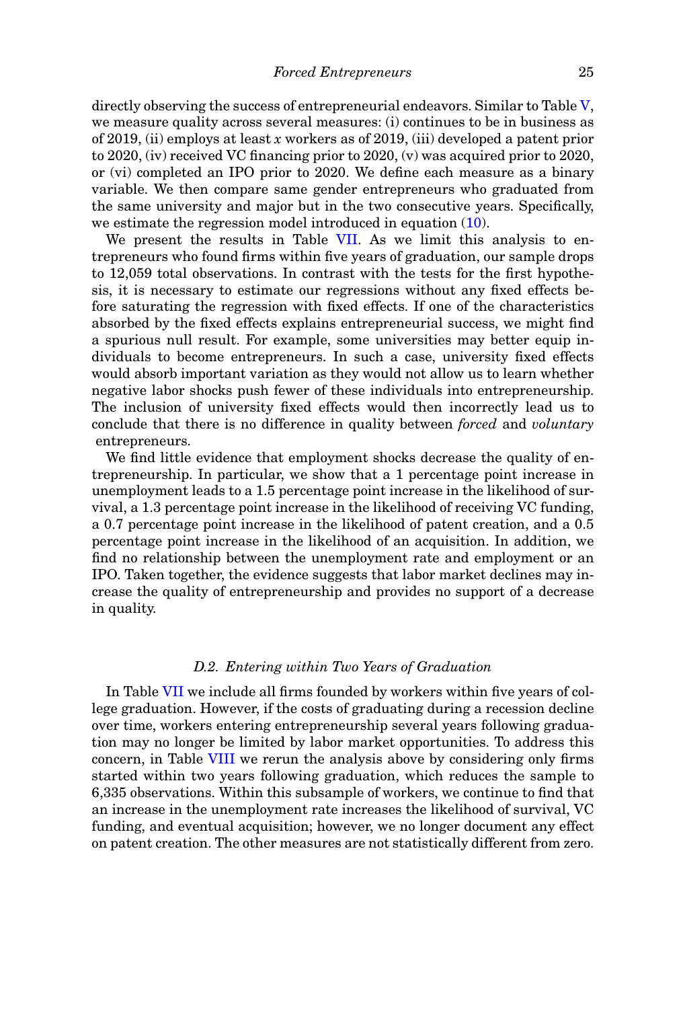directly observing the success of entrepreneurial endeavors. Similar to Table V, we measure quality across several measures: (i) continues to be in business as of 2019, (ii) employs at least *x* workers as of 2019, (iii) developed a patent prior to 2020, (iv) received VC financing prior to 2020, (v) was acquired prior to 2020, or (vi) completed an IPO prior to 2020. We define each measure as a binary variable. We then compare same gender entrepreneurs who graduated from the same university and major but in the two consecutive years. Specifically, we estimate the regression model introduced in equation  $(10)$ .

We present the results in Table VII. As we limit this analysis to entrepreneurs who found firms within five years of graduation, our sample drops to 12,059 total observations. In contrast with the tests for the first hypothesis, it is necessary to estimate our regressions without any fixed effects before saturating the regression with fixed effects. If one of the characteristics absorbed by the fixed effects explains entrepreneurial success, we might find a spurious null result. For example, some universities may better equip individuals to become entrepreneurs. In such a case, university fixed effects would absorb important variation as they would not allow us to learn whether negative labor shocks push fewer of these individuals into entrepreneurship. The inclusion of university fixed effects would then incorrectly lead us to conclude that there is no difference in quality between *forced* and *voluntary* entrepreneurs.

We find little evidence that employment shocks decrease the quality of entrepreneurship. In particular, we show that a 1 percentage point increase in unemployment leads to a 1.5 percentage point increase in the likelihood of survival, a 1.3 percentage point increase in the likelihood of receiving VC funding, a 0.7 percentage point increase in the likelihood of patent creation, and a 0.5 percentage point increase in the likelihood of an acquisition. In addition, we find no relationship between the unemployment rate and employment or an IPO. Taken together, the evidence suggests that labor market declines may increase the quality of entrepreneurship and provides no support of a decrease in quality.

### *D.2. Entering within Two Years of Graduation*

In Table VII we include all firms founded by workers within five years of college graduation. However, if the costs of graduating during a recession decline over time, workers entering entrepreneurship several years following graduation may no longer be limited by labor market opportunities. To address this concern, in Table VIII we rerun the analysis above by considering only firms started within two years following graduation, which reduces the sample to 6,335 observations. Within this subsample of workers, we continue to find that an increase in the unemployment rate increases the likelihood of survival, VC funding, and eventual acquisition; however, we no longer document any effect on patent creation. The other measures are not statistically different from zero.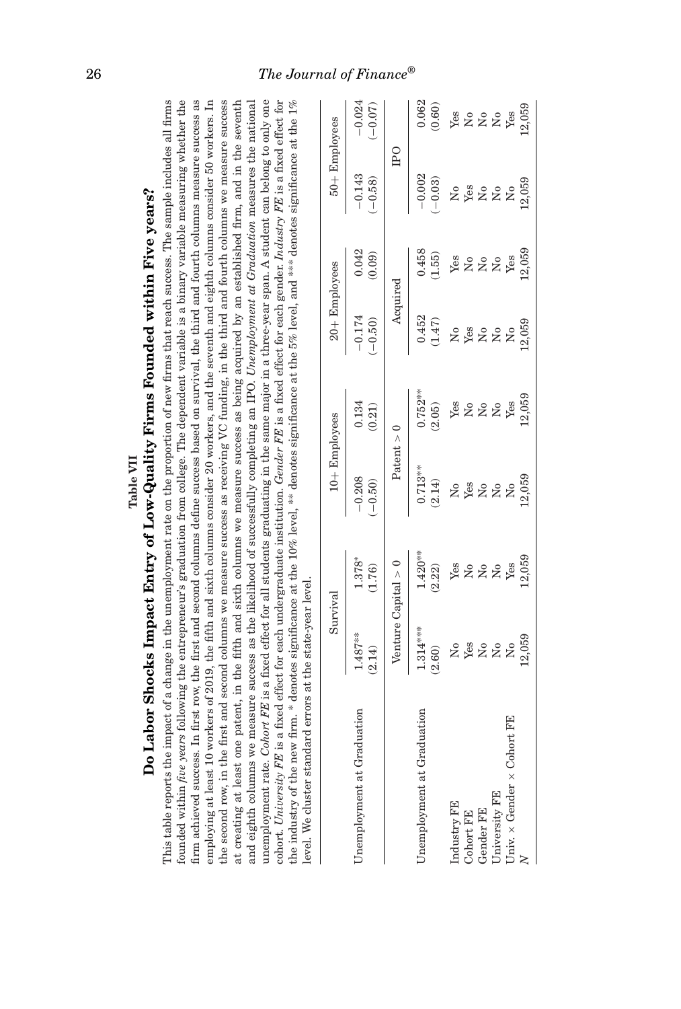|                                                                                                                                                                                                                                                                                                                                                                                                                                                                                                                                                                                                                                                                                                                                                                                                                                                                                                                                                                                                                                                                                                                                                                                                                                                                                                                                                                                                                       |                                          |                                            | Do Labor Shocks Impact Entry of Low-Quality Firms Founded within Five years?<br>Table VII                                       |                                       |                           |                                       |                                                             |                                            |
|-----------------------------------------------------------------------------------------------------------------------------------------------------------------------------------------------------------------------------------------------------------------------------------------------------------------------------------------------------------------------------------------------------------------------------------------------------------------------------------------------------------------------------------------------------------------------------------------------------------------------------------------------------------------------------------------------------------------------------------------------------------------------------------------------------------------------------------------------------------------------------------------------------------------------------------------------------------------------------------------------------------------------------------------------------------------------------------------------------------------------------------------------------------------------------------------------------------------------------------------------------------------------------------------------------------------------------------------------------------------------------------------------------------------------|------------------------------------------|--------------------------------------------|---------------------------------------------------------------------------------------------------------------------------------|---------------------------------------|---------------------------|---------------------------------------|-------------------------------------------------------------|--------------------------------------------|
| This table reports the impact of a change in the unemployment rate on the proportion of new firms that reach success. The sample includes all firms<br>founded within <i>five years</i> following the entrepreneur's graduation from college. The dependent variable is a binary variable measuring whether the<br>firm achieved success. In first row, the first and second columns define success based on survival, the third and fourth columns measure success as<br>employing at least 10 workers of 2019, the fifth and sixth columns consider 20 workers, and the seventh and eighth columns consider 50 workers. In the second row, in the first and second columns we measure success as rece<br>and eighth columns we measure success as the likelihood of successfully completing an IPO. Unemployment at Graduation measures the national<br>unemployment rate. Cohort FE is a fixed effect for all students graduating in the same major in a three-year span. A student can belong to only one<br>at creating at least one patent, in the fifth and sixth columns we measure success as being acquired by an established firm, and in the seventh<br>the industry of the new firm. * denotes significance at the 10% level, ** denotes significance at the 5% level, and *** denotes significance at the 1%<br>level. We cluster standard errors at the state-year level<br>cohort. University FE is a |                                          |                                            | fixed effect for each undergraduate institution. Gender FE is a fixed effect for each gender. Industry FE is a fixed effect for |                                       |                           |                                       |                                                             |                                            |
|                                                                                                                                                                                                                                                                                                                                                                                                                                                                                                                                                                                                                                                                                                                                                                                                                                                                                                                                                                                                                                                                                                                                                                                                                                                                                                                                                                                                                       | Survival                                 |                                            | $10 +$ Employees                                                                                                                |                                       | $20 +$ Employees          |                                       | $50 +$ Employees                                            |                                            |
| Unemployment at Graduation                                                                                                                                                                                                                                                                                                                                                                                                                                                                                                                                                                                                                                                                                                                                                                                                                                                                                                                                                                                                                                                                                                                                                                                                                                                                                                                                                                                            | $1.487***$<br>(2.14)                     | 1.378*<br>(1.76)                           | $-0.208$<br>(0.50)                                                                                                              | 0.134<br>(0.21)                       | $-0.174$<br>$(-0.50)$     | 0.042<br>(0.09)                       | $-0.143$<br>$(-0.58)$                                       | $-0.024$<br>$(-0.07)$                      |
|                                                                                                                                                                                                                                                                                                                                                                                                                                                                                                                                                                                                                                                                                                                                                                                                                                                                                                                                                                                                                                                                                                                                                                                                                                                                                                                                                                                                                       |                                          | Venture Capital $> 0$                      | Patent $> 0$                                                                                                                    |                                       | Acquired                  |                                       | $_{\rm P}$                                                  |                                            |
| Unemployment at Graduation                                                                                                                                                                                                                                                                                                                                                                                                                                                                                                                                                                                                                                                                                                                                                                                                                                                                                                                                                                                                                                                                                                                                                                                                                                                                                                                                                                                            | $1.314***$<br>(2.60)                     | $1.420***$<br>(2.22)                       | $0.713***$<br>(2.14)                                                                                                            | $0.752***$<br>(2.05)                  | 0.452<br>(1.47)           | 0.458<br>(1.55)                       | $-0.002$<br>$(-0.03)$                                       | 0.062<br>(0.60)                            |
| Industry FE                                                                                                                                                                                                                                                                                                                                                                                                                                                                                                                                                                                                                                                                                                                                                                                                                                                                                                                                                                                                                                                                                                                                                                                                                                                                                                                                                                                                           | Yes<br>ž                                 | Yes<br>$\mathop{\Sigma}\limits^{\circ}$    | ${\it Yes}$<br>ż                                                                                                                | Yes<br>$\mathsf{S}^{\mathsf{o}}$      | ${\it Yes}$<br>ż          | Yes<br>$\mathop{\mathsf{S}}\nolimits$ | ${\it Yes}$<br>ž                                            | Yes<br>$\rm \stackrel{\circ}{\rm X}$       |
| Cohort FE<br>Gender FE                                                                                                                                                                                                                                                                                                                                                                                                                                                                                                                                                                                                                                                                                                                                                                                                                                                                                                                                                                                                                                                                                                                                                                                                                                                                                                                                                                                                | $\stackrel{\circ}{\mathbf{Z}}$           | $\mathsf{S}^{\mathsf{o}}$                  | $\mathsf{S}^{\mathsf{o}}$                                                                                                       | $\mathop{\mathsf{S}}\nolimits$        | $\mathsf{S}^{\mathsf{o}}$ | $\mathsf{S}^{\mathsf{o}}$             | $\stackrel{\circ}{\mathbf{Z}}$                              | $\Sigma$                                   |
| Univ. $\times$ Gender $\times$ Cohort FE<br>University FE                                                                                                                                                                                                                                                                                                                                                                                                                                                                                                                                                                                                                                                                                                                                                                                                                                                                                                                                                                                                                                                                                                                                                                                                                                                                                                                                                             | 12,059<br>ž<br>$\mathsf{S}^{\mathsf{o}}$ | 12,059<br>Yes<br>$\mathsf{S}^{\mathsf{o}}$ | 12,059<br>ž<br>$\mathsf{S}^{\mathsf{o}}$                                                                                        | 12,059<br>Yes<br>$\tilde{\mathbf{z}}$ | 12,059<br>ż<br>2          | 12,059<br>Yes<br>$\Sigma$             | 12,059<br>$\mathsf{S}^{\mathsf{o}}$<br>$\tilde{\mathsf{z}}$ | 12,059<br>Yes<br>$\mathsf{S}^{\mathsf{o}}$ |
|                                                                                                                                                                                                                                                                                                                                                                                                                                                                                                                                                                                                                                                                                                                                                                                                                                                                                                                                                                                                                                                                                                                                                                                                                                                                                                                                                                                                                       |                                          |                                            |                                                                                                                                 |                                       |                           |                                       |                                                             |                                            |

26 *The Journal of Finance ®*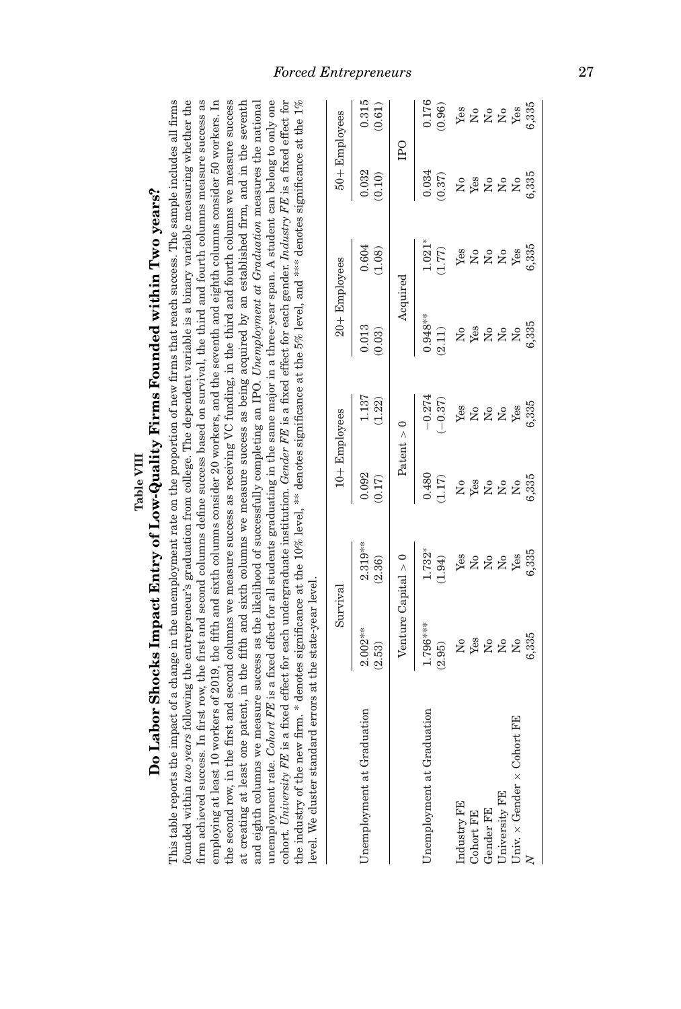| Do Labor Shocks Impact Entry of Low-Quality Firms Founded within Two years?                                                                                                                                                                                                                                                                                                                                                                                                                                                                                                                                                                                                                                                                                                                                                                                                                                                                                                                                                                                                                                                                                                                                                                                            |                                                                                                                                                                                                                                                                                            |                                           |                                  |                             |                                                |                                |                                       |                                               |
|------------------------------------------------------------------------------------------------------------------------------------------------------------------------------------------------------------------------------------------------------------------------------------------------------------------------------------------------------------------------------------------------------------------------------------------------------------------------------------------------------------------------------------------------------------------------------------------------------------------------------------------------------------------------------------------------------------------------------------------------------------------------------------------------------------------------------------------------------------------------------------------------------------------------------------------------------------------------------------------------------------------------------------------------------------------------------------------------------------------------------------------------------------------------------------------------------------------------------------------------------------------------|--------------------------------------------------------------------------------------------------------------------------------------------------------------------------------------------------------------------------------------------------------------------------------------------|-------------------------------------------|----------------------------------|-----------------------------|------------------------------------------------|--------------------------------|---------------------------------------|-----------------------------------------------|
| This table reports the impact of a change in the unemployment rate on the proportion of new firms that reach success. The sample includes all firms<br>founded within two years following the entrepreneur's graduation from college. The dependent variable is a binary variable measuring whether the<br>at creating at least one patent, in the fifth and sixth columns we measure success as being acquired by an established firm, and in the seventh<br>and eighth columns we measure success as the likelihood of successfully comple<br>cohort. University FE is a fixed effect for each undergraduate institution. Gender FE is a fixed effect for each gender. Industry FE is a fixed effect for<br>firm achieved success. In first row, the first and second columns define success based on survival, the third and fourth columns measure success as<br>the second row, in the first and second columns we measure success as receiving VC funding, in the third and fourth columns we measure success<br>unemployment rate. Cohort FB is a fixed effect for all students graduating in the same major in a three-year span. A student can belong to only one<br>employing at least 10 work<br>the industry of the new fir.<br>level. We cluster standard | cers of 2019, the fifth and sixth columns consider 20 workers, and the seventh and eighth columns consider 50 workers. In<br>m. * denotes significance at the 10% level, ** denotes significance at the 5% level, and *** denotes significance at the 1%<br>errors at the state-year level |                                           |                                  |                             |                                                |                                |                                       |                                               |
|                                                                                                                                                                                                                                                                                                                                                                                                                                                                                                                                                                                                                                                                                                                                                                                                                                                                                                                                                                                                                                                                                                                                                                                                                                                                        | Survival                                                                                                                                                                                                                                                                                   |                                           |                                  | $10 +$ Employees            | $20 +$ Employees                               |                                | $50 +$ Employees                      |                                               |
| Unemployment at Graduation                                                                                                                                                                                                                                                                                                                                                                                                                                                                                                                                                                                                                                                                                                                                                                                                                                                                                                                                                                                                                                                                                                                                                                                                                                             | $2.002**$<br>(2.53)                                                                                                                                                                                                                                                                        | $2.319***$<br>(2.36)                      | 0.092<br>(0.17)                  | 1.137<br>(1.22)             | 0.013<br>(0.03)                                | 0.604<br>(1.08)                | 0.032<br>(0.10)                       | 0.315<br>(0.61)                               |
|                                                                                                                                                                                                                                                                                                                                                                                                                                                                                                                                                                                                                                                                                                                                                                                                                                                                                                                                                                                                                                                                                                                                                                                                                                                                        | Venture Capital $> 0$                                                                                                                                                                                                                                                                      |                                           | Patent $> 0$                     |                             | Acquired                                       |                                | $_{\rm IPO}$                          |                                               |
| Unemployment at Graduation                                                                                                                                                                                                                                                                                                                                                                                                                                                                                                                                                                                                                                                                                                                                                                                                                                                                                                                                                                                                                                                                                                                                                                                                                                             | $1.796***$<br>(2.95)                                                                                                                                                                                                                                                                       | 1.732*<br>(1.94)                          | 0.480<br>(1.17)                  | $-0.274$<br>$(-0.37)$       | $0.948**$<br>(2.11)                            | $1.021*$<br>(1.77)             | 0.034<br>(0.37)                       | 0.176<br>(0.96)                               |
| Industry FE<br>Cohort FE                                                                                                                                                                                                                                                                                                                                                                                                                                                                                                                                                                                                                                                                                                                                                                                                                                                                                                                                                                                                                                                                                                                                                                                                                                               | Yes<br>$\mathsf{S}^{\mathsf{o}}$                                                                                                                                                                                                                                                           | Yes<br>$\mathsf{S}^{\mathsf{o}}$          | Yes<br>$\mathsf{S}^{\mathsf{o}}$ | Yes<br>ž                    | Yes<br>$\mathsf{S}^{\mathsf{o}}$               | Yes<br>$\overline{\mathsf{x}}$ | Yes<br>$\mathop{\mathsf{S}}\nolimits$ | Yes<br>ż                                      |
| Gender FE                                                                                                                                                                                                                                                                                                                                                                                                                                                                                                                                                                                                                                                                                                                                                                                                                                                                                                                                                                                                                                                                                                                                                                                                                                                              | $\mathsf{S}^{\mathsf{o}}$                                                                                                                                                                                                                                                                  | $\rm{S}$                                  | $\mathsf{S}^{\mathsf{o}}$        | $\mathsf{S}^{\mathsf{o}}$   | $\mathsf{S}^{\mathsf{o}}$                      | $\rm \stackrel{o}{\simeq}$     | $\stackrel{\circ}{\phantom{}_{\sim}}$ | $\rm _{Xo}$                                   |
| Univ. $\times$ Gender $\times$ Cohort FE<br>University FE                                                                                                                                                                                                                                                                                                                                                                                                                                                                                                                                                                                                                                                                                                                                                                                                                                                                                                                                                                                                                                                                                                                                                                                                              | 6,335<br>ž<br>$\mathsf{S}^{\mathsf{o}}$                                                                                                                                                                                                                                                    | 6,335<br>Yes<br>$\mathsf{S}^{\mathsf{o}}$ | 6,335<br>$\Sigma$<br>ž           | 6,335<br>Yes<br>$\tilde{z}$ | 6,335<br>$\mathsf{S}^{\mathsf{O}}$<br>$\Sigma$ | 6,335<br>Yes<br>$\Sigma$       | 6,335<br>$\Sigma$<br>$\overline{S}$   | 6,335<br>Yes<br>$\rm \stackrel{\circ}{\rm X}$ |
|                                                                                                                                                                                                                                                                                                                                                                                                                                                                                                                                                                                                                                                                                                                                                                                                                                                                                                                                                                                                                                                                                                                                                                                                                                                                        |                                                                                                                                                                                                                                                                                            |                                           |                                  |                             |                                                |                                |                                       |                                               |

Ė j Table VIII *Forced Entrepreneurs* 27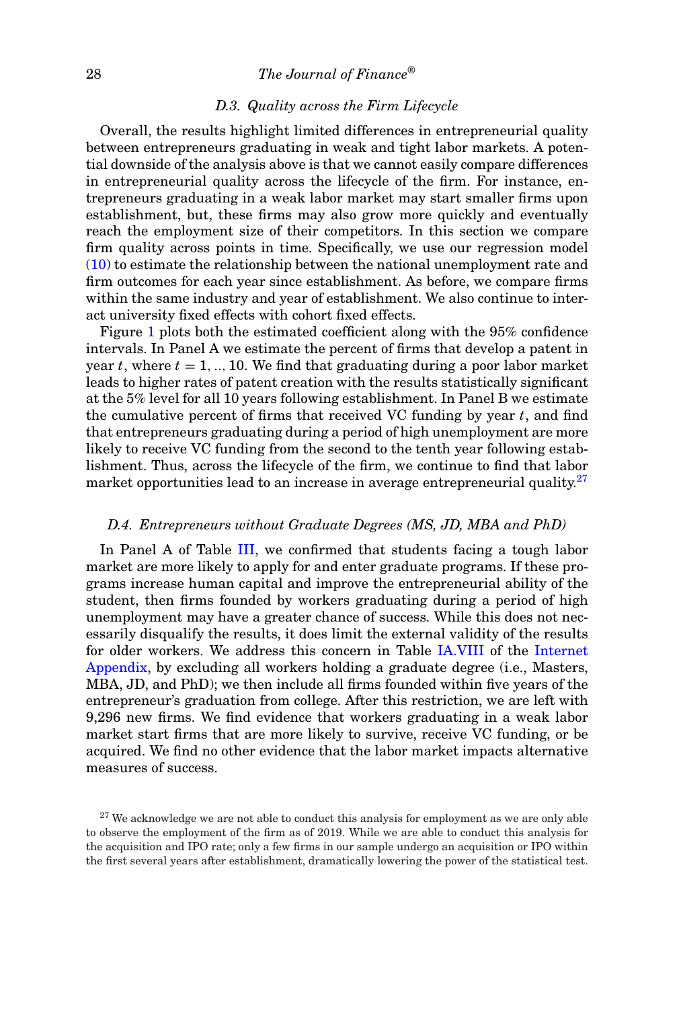### 28 *The Journal of Finance®*

### *D.3. Quality across the Firm Lifecycle*

Overall, the results highlight limited differences in entrepreneurial quality between entrepreneurs graduating in weak and tight labor markets. A potential downside of the analysis above is that we cannot easily compare differences in entrepreneurial quality across the lifecycle of the firm. For instance, entrepreneurs graduating in a weak labor market may start smaller firms upon establishment, but, these firms may also grow more quickly and eventually reach the employment size of their competitors. In this section we compare firm quality across points in time. Specifically, we use our regression model (10) to estimate the relationship between the national unemployment rate and firm outcomes for each year since establishment. As before, we compare firms within the same industry and year of establishment. We also continue to interact university fixed effects with cohort fixed effects.

Figure 1 plots both the estimated coefficient along with the 95% confidence intervals. In Panel A we estimate the percent of firms that develop a patent in year  $t$ , where  $t = 1, \ldots, 10$ . We find that graduating during a poor labor market leads to higher rates of patent creation with the results statistically significant at the 5% level for all 10 years following establishment. In Panel B we estimate the cumulative percent of firms that received VC funding by year *t*, and find that entrepreneurs graduating during a period of high unemployment are more likely to receive VC funding from the second to the tenth year following establishment. Thus, across the lifecycle of the firm, we continue to find that labor market opportunities lead to an increase in average entrepreneurial quality.<sup>27</sup>

### *D.4. Entrepreneurs without Graduate Degrees (MS, JD, MBA and PhD)*

In Panel A of Table III, we confirmed that students facing a tough labor market are more likely to apply for and enter graduate programs. If these programs increase human capital and improve the entrepreneurial ability of the student, then firms founded by workers graduating during a period of high unemployment may have a greater chance of success. While this does not necessarily disqualify the results, it does limit the external validity of the results for older workers. We address this concern in Table IA.VIII of the Internet Appendix, by excluding all workers holding a graduate degree (i.e., Masters, MBA, JD, and PhD); we then include all firms founded within five years of the entrepreneur's graduation from college. After this restriction, we are left with 9,296 new firms. We find evidence that workers graduating in a weak labor market start firms that are more likely to survive, receive VC funding, or be acquired. We find no other evidence that the labor market impacts alternative measures of success.

 $27$  We acknowledge we are not able to conduct this analysis for employment as we are only able to observe the employment of the firm as of 2019. While we are able to conduct this analysis for the acquisition and IPO rate; only a few firms in our sample undergo an acquisition or IPO within the first several years after establishment, dramatically lowering the power of the statistical test.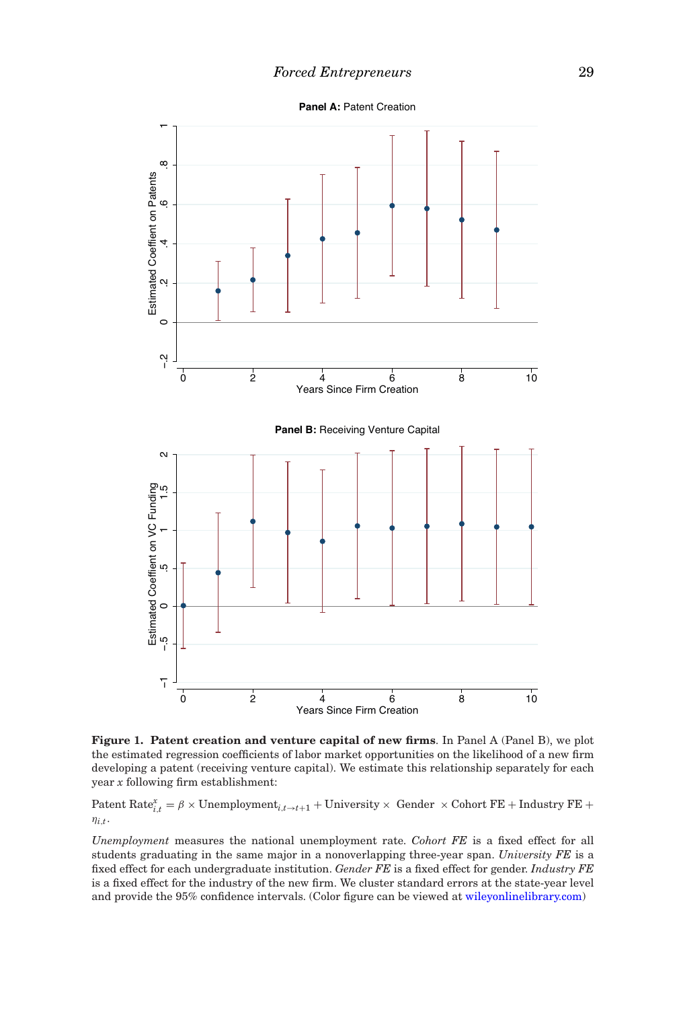**Panel A:** Patent Creation



**Figure 1. Patent creation and venture capital of new firms**. In Panel A (Panel B), we plot the estimated regression coefficients of labor market opportunities on the likelihood of a new firm developing a patent (receiving venture capital). We estimate this relationship separately for each year *x* following firm establishment:

Patent Rate $x_{i,t}^x = \beta \times$  Unemployment<sub>i,</sub> $t \rightarrow t+1$  + University  $\times$  Gender  $\times$  Cohort FE + Industry FE +  $\eta_{i,t}$ .

*Unemployment* measures the national unemployment rate. *Cohort FE* is a fixed effect for all students graduating in the same major in a nonoverlapping three-year span. *University FE* is a fixed effect for each undergraduate institution. *Gender FE* is a fixed effect for gender. *Industry FE* is a fixed effect for the industry of the new firm. We cluster standard errors at the state-year level and provide the 95% confidence intervals. (Color figure can be viewed at wileyonlinelibrary.com)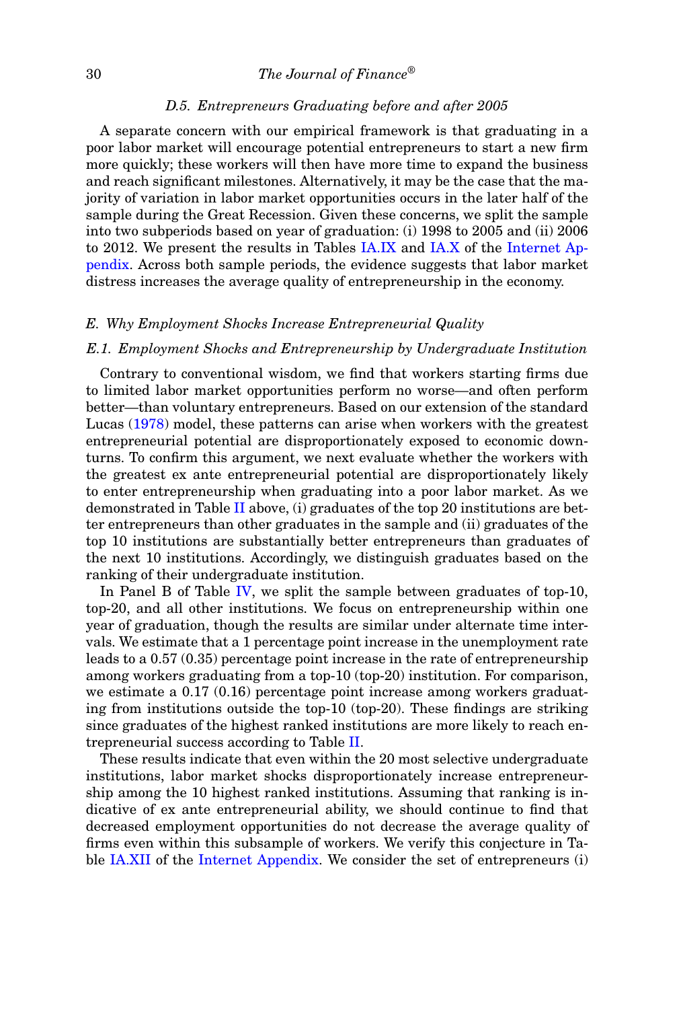### *D.5. Entrepreneurs Graduating before and after 2005*

A separate concern with our empirical framework is that graduating in a poor labor market will encourage potential entrepreneurs to start a new firm more quickly; these workers will then have more time to expand the business and reach significant milestones. Alternatively, it may be the case that the majority of variation in labor market opportunities occurs in the later half of the sample during the Great Recession. Given these concerns, we split the sample into two subperiods based on year of graduation: (i) 1998 to 2005 and (ii) 2006 to 2012. We present the results in Tables IA.IX and IA.X of the Internet Appendix. Across both sample periods, the evidence suggests that labor market distress increases the average quality of entrepreneurship in the economy.

### *E. Why Employment Shocks Increase Entrepreneurial Quality*

### *E.1. Employment Shocks and Entrepreneurship by Undergraduate Institution*

Contrary to conventional wisdom, we find that workers starting firms due to limited labor market opportunities perform no worse—and often perform better—than voluntary entrepreneurs. Based on our extension of the standard Lucas (1978) model, these patterns can arise when workers with the greatest entrepreneurial potential are disproportionately exposed to economic downturns. To confirm this argument, we next evaluate whether the workers with the greatest ex ante entrepreneurial potential are disproportionately likely to enter entrepreneurship when graduating into a poor labor market. As we demonstrated in Table II above, (i) graduates of the top 20 institutions are better entrepreneurs than other graduates in the sample and (ii) graduates of the top 10 institutions are substantially better entrepreneurs than graduates of the next 10 institutions. Accordingly, we distinguish graduates based on the ranking of their undergraduate institution.

In Panel B of Table IV, we split the sample between graduates of top-10, top-20, and all other institutions. We focus on entrepreneurship within one year of graduation, though the results are similar under alternate time intervals. We estimate that a 1 percentage point increase in the unemployment rate leads to a 0.57 (0.35) percentage point increase in the rate of entrepreneurship among workers graduating from a top-10 (top-20) institution. For comparison, we estimate a 0.17 (0.16) percentage point increase among workers graduating from institutions outside the top-10 (top-20). These findings are striking since graduates of the highest ranked institutions are more likely to reach entrepreneurial success according to Table II.

These results indicate that even within the 20 most selective undergraduate institutions, labor market shocks disproportionately increase entrepreneurship among the 10 highest ranked institutions. Assuming that ranking is indicative of ex ante entrepreneurial ability, we should continue to find that decreased employment opportunities do not decrease the average quality of firms even within this subsample of workers. We verify this conjecture in Table IA.XII of the Internet Appendix. We consider the set of entrepreneurs (i)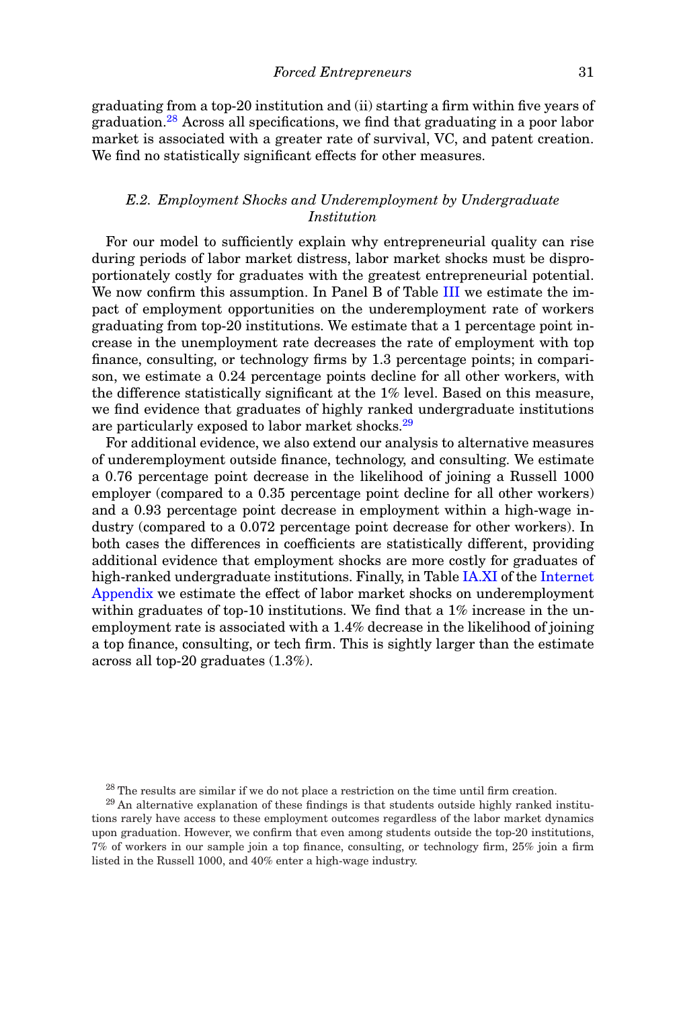graduating from a top-20 institution and (ii) starting a firm within five years of graduation.<sup>28</sup> Across all specifications, we find that graduating in a poor labor market is associated with a greater rate of survival, VC, and patent creation. We find no statistically significant effects for other measures.

### *E.2. Employment Shocks and Underemployment by Undergraduate Institution*

For our model to sufficiently explain why entrepreneurial quality can rise during periods of labor market distress, labor market shocks must be disproportionately costly for graduates with the greatest entrepreneurial potential. We now confirm this assumption. In Panel B of Table III we estimate the impact of employment opportunities on the underemployment rate of workers graduating from top-20 institutions. We estimate that a 1 percentage point increase in the unemployment rate decreases the rate of employment with top finance, consulting, or technology firms by 1.3 percentage points; in comparison, we estimate a 0.24 percentage points decline for all other workers, with the difference statistically significant at the 1% level. Based on this measure, we find evidence that graduates of highly ranked undergraduate institutions are particularly exposed to labor market shocks.<sup>29</sup>

For additional evidence, we also extend our analysis to alternative measures of underemployment outside finance, technology, and consulting. We estimate a 0.76 percentage point decrease in the likelihood of joining a Russell 1000 employer (compared to a 0.35 percentage point decline for all other workers) and a 0.93 percentage point decrease in employment within a high-wage industry (compared to a 0.072 percentage point decrease for other workers). In both cases the differences in coefficients are statistically different, providing additional evidence that employment shocks are more costly for graduates of high-ranked undergraduate institutions. Finally, in Table IA.XI of the Internet Appendix we estimate the effect of labor market shocks on underemployment within graduates of top-10 institutions. We find that a 1% increase in the unemployment rate is associated with a 1.4% decrease in the likelihood of joining a top finance, consulting, or tech firm. This is sightly larger than the estimate across all top-20 graduates (1.3%).

 $28$  The results are similar if we do not place a restriction on the time until firm creation.

 $29$  An alternative explanation of these findings is that students outside highly ranked institutions rarely have access to these employment outcomes regardless of the labor market dynamics upon graduation. However, we confirm that even among students outside the top-20 institutions, 7% of workers in our sample join a top finance, consulting, or technology firm, 25% join a firm listed in the Russell 1000, and 40% enter a high-wage industry.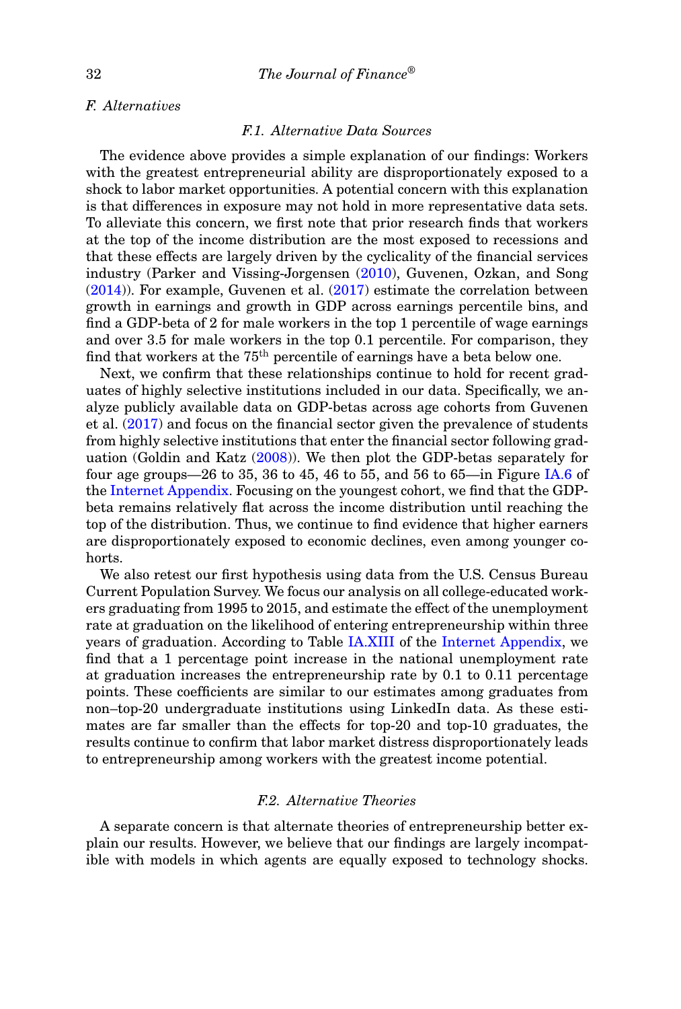### *F. Alternatives*

### *F.1. Alternative Data Sources*

The evidence above provides a simple explanation of our findings: Workers with the greatest entrepreneurial ability are disproportionately exposed to a shock to labor market opportunities. A potential concern with this explanation is that differences in exposure may not hold in more representative data sets. To alleviate this concern, we first note that prior research finds that workers at the top of the income distribution are the most exposed to recessions and that these effects are largely driven by the cyclicality of the financial services industry (Parker and Vissing-Jorgensen (2010), Guvenen, Ozkan, and Song (2014)). For example, Guvenen et al. (2017) estimate the correlation between growth in earnings and growth in GDP across earnings percentile bins, and find a GDP-beta of 2 for male workers in the top 1 percentile of wage earnings and over 3.5 for male workers in the top 0.1 percentile. For comparison, they find that workers at the  $75<sup>th</sup>$  percentile of earnings have a beta below one.

Next, we confirm that these relationships continue to hold for recent graduates of highly selective institutions included in our data. Specifically, we analyze publicly available data on GDP-betas across age cohorts from Guvenen et al. (2017) and focus on the financial sector given the prevalence of students from highly selective institutions that enter the financial sector following graduation (Goldin and Katz (2008)). We then plot the GDP-betas separately for four age groups—26 to 35, 36 to 45, 46 to 55, and 56 to 65—in Figure IA.6 of the Internet Appendix. Focusing on the youngest cohort, we find that the GDPbeta remains relatively flat across the income distribution until reaching the top of the distribution. Thus, we continue to find evidence that higher earners are disproportionately exposed to economic declines, even among younger cohorts.

We also retest our first hypothesis using data from the U.S. Census Bureau Current Population Survey. We focus our analysis on all college-educated workers graduating from 1995 to 2015, and estimate the effect of the unemployment rate at graduation on the likelihood of entering entrepreneurship within three years of graduation. According to Table IA.XIII of the Internet Appendix, we find that a 1 percentage point increase in the national unemployment rate at graduation increases the entrepreneurship rate by 0.1 to 0.11 percentage points. These coefficients are similar to our estimates among graduates from non–top-20 undergraduate institutions using LinkedIn data. As these estimates are far smaller than the effects for top-20 and top-10 graduates, the results continue to confirm that labor market distress disproportionately leads to entrepreneurship among workers with the greatest income potential.

### *F.2. Alternative Theories*

A separate concern is that alternate theories of entrepreneurship better explain our results. However, we believe that our findings are largely incompatible with models in which agents are equally exposed to technology shocks.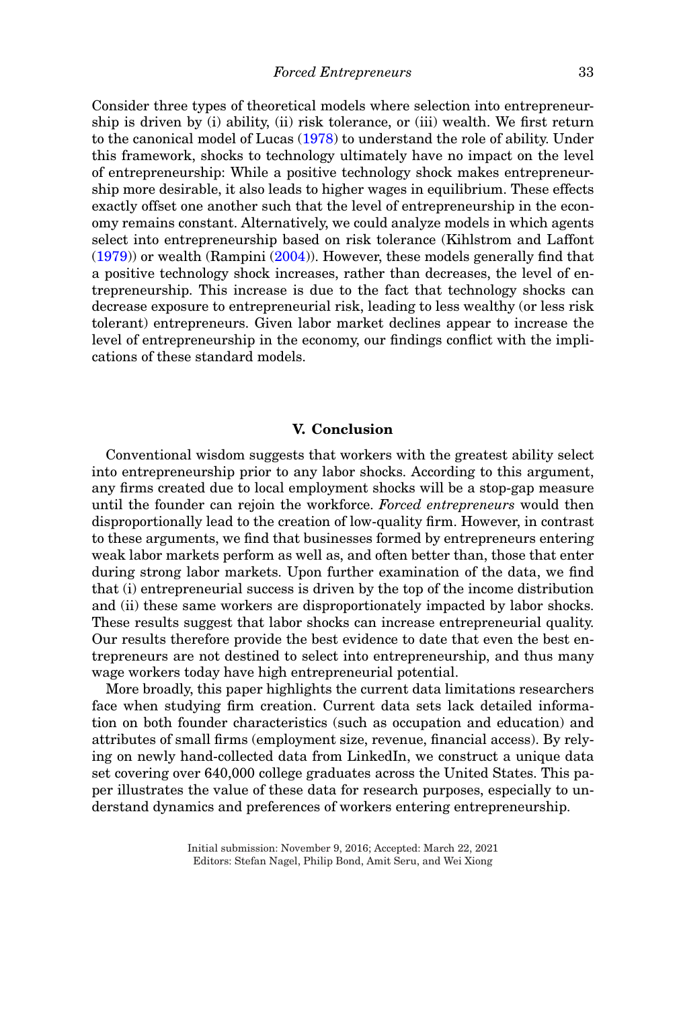Consider three types of theoretical models where selection into entrepreneurship is driven by (i) ability, (ii) risk tolerance, or (iii) wealth. We first return to the canonical model of Lucas (1978) to understand the role of ability. Under this framework, shocks to technology ultimately have no impact on the level of entrepreneurship: While a positive technology shock makes entrepreneurship more desirable, it also leads to higher wages in equilibrium. These effects exactly offset one another such that the level of entrepreneurship in the economy remains constant. Alternatively, we could analyze models in which agents select into entrepreneurship based on risk tolerance (Kihlstrom and Laffont (1979)) or wealth (Rampini (2004)). However, these models generally find that a positive technology shock increases, rather than decreases, the level of entrepreneurship. This increase is due to the fact that technology shocks can decrease exposure to entrepreneurial risk, leading to less wealthy (or less risk tolerant) entrepreneurs. Given labor market declines appear to increase the level of entrepreneurship in the economy, our findings conflict with the implications of these standard models.

### **V. Conclusion**

Conventional wisdom suggests that workers with the greatest ability select into entrepreneurship prior to any labor shocks. According to this argument, any firms created due to local employment shocks will be a stop-gap measure until the founder can rejoin the workforce. *Forced entrepreneurs* would then disproportionally lead to the creation of low-quality firm. However, in contrast to these arguments, we find that businesses formed by entrepreneurs entering weak labor markets perform as well as, and often better than, those that enter during strong labor markets. Upon further examination of the data, we find that (i) entrepreneurial success is driven by the top of the income distribution and (ii) these same workers are disproportionately impacted by labor shocks. These results suggest that labor shocks can increase entrepreneurial quality. Our results therefore provide the best evidence to date that even the best entrepreneurs are not destined to select into entrepreneurship, and thus many wage workers today have high entrepreneurial potential.

More broadly, this paper highlights the current data limitations researchers face when studying firm creation. Current data sets lack detailed information on both founder characteristics (such as occupation and education) and attributes of small firms (employment size, revenue, financial access). By relying on newly hand-collected data from LinkedIn, we construct a unique data set covering over 640,000 college graduates across the United States. This paper illustrates the value of these data for research purposes, especially to understand dynamics and preferences of workers entering entrepreneurship.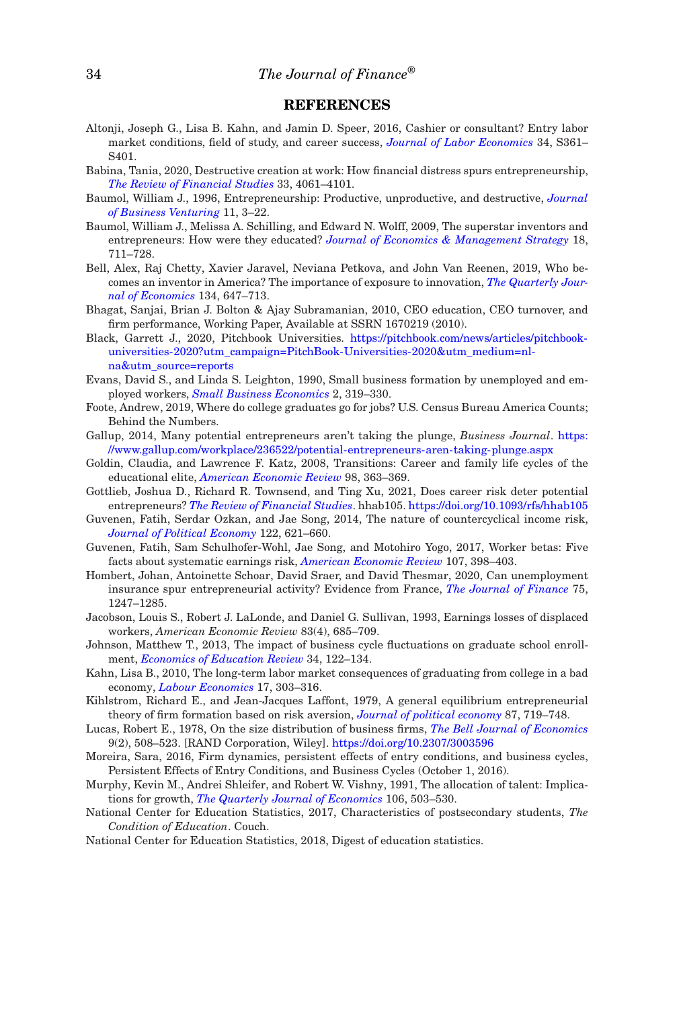### **REFERENCES**

- Altonji, Joseph G., Lisa B. Kahn, and Jamin D. Speer, 2016, Cashier or consultant? Entry labor market conditions, field of study, and career success, *Journal of Labor Economics* 34, S361– S401.
- Babina, Tania, 2020, Destructive creation at work: How financial distress spurs entrepreneurship, *The Review of Financial Studies* 33, 4061–4101.
- Baumol, William J., 1996, Entrepreneurship: Productive, unproductive, and destructive, *Journal of Business Venturing* 11, 3–22.
- Baumol, William J., Melissa A. Schilling, and Edward N. Wolff, 2009, The superstar inventors and entrepreneurs: How were they educated? *Journal of Economics & Management Strategy* 18, 711–728.
- Bell, Alex, Raj Chetty, Xavier Jaravel, Neviana Petkova, and John Van Reenen, 2019, Who becomes an inventor in America? The importance of exposure to innovation, *The Quarterly Journal of Economics* 134, 647–713.
- Bhagat, Sanjai, Brian J. Bolton & Ajay Subramanian, 2010, CEO education, CEO turnover, and firm performance, Working Paper, Available at SSRN 1670219 (2010).
- Black, Garrett J., 2020, Pitchbook Universities. https://pitchbook.com/news/articles/pitchbookuniversities-2020?utm\_campaign=PitchBook-Universities-2020&utm\_medium=nlna&utm\_source=reports
- Evans, David S., and Linda S. Leighton, 1990, Small business formation by unemployed and employed workers, *Small Business Economics* 2, 319–330.
- Foote, Andrew, 2019, Where do college graduates go for jobs? U.S. Census Bureau America Counts; Behind the Numbers.
- Gallup, 2014, Many potential entrepreneurs aren't taking the plunge, *Business Journal*. https: //www.gallup.com/workplace/236522/potential-entrepreneurs-aren-taking-plunge.aspx
- Goldin, Claudia, and Lawrence F. Katz, 2008, Transitions: Career and family life cycles of the educational elite, *American Economic Review* 98, 363–369.
- Gottlieb, Joshua D., Richard R. Townsend, and Ting Xu, 2021, Does career risk deter potential entrepreneurs? *The Review of Financial Studies*. hhab105. https://doi.org/10.1093/rfs/hhab105
- Guvenen, Fatih, Serdar Ozkan, and Jae Song, 2014, The nature of countercyclical income risk, *Journal of Political Economy* 122, 621–660.
- Guvenen, Fatih, Sam Schulhofer-Wohl, Jae Song, and Motohiro Yogo, 2017, Worker betas: Five facts about systematic earnings risk, *American Economic Review* 107, 398–403.
- Hombert, Johan, Antoinette Schoar, David Sraer, and David Thesmar, 2020, Can unemployment insurance spur entrepreneurial activity? Evidence from France, *The Journal of Finance* 75, 1247–1285.
- Jacobson, Louis S., Robert J. LaLonde, and Daniel G. Sullivan, 1993, Earnings losses of displaced workers, *American Economic Review* 83(4), 685–709.
- Johnson, Matthew T., 2013, The impact of business cycle fluctuations on graduate school enrollment, *Economics of Education Review* 34, 122–134.
- Kahn, Lisa B., 2010, The long-term labor market consequences of graduating from college in a bad economy, *Labour Economics* 17, 303–316.
- Kihlstrom, Richard E., and Jean-Jacques Laffont, 1979, A general equilibrium entrepreneurial theory of firm formation based on risk aversion, *Journal of political economy* 87, 719–748.
- Lucas, Robert E., 1978, On the size distribution of business firms, *The Bell Journal of Economics* 9(2), 508–523. [RAND Corporation, Wiley]. https://doi.org/10.2307/3003596
- Moreira, Sara, 2016, Firm dynamics, persistent effects of entry conditions, and business cycles, Persistent Effects of Entry Conditions, and Business Cycles (October 1, 2016).
- Murphy, Kevin M., Andrei Shleifer, and Robert W. Vishny, 1991, The allocation of talent: Implications for growth, *The Quarterly Journal of Economics* 106, 503–530.
- National Center for Education Statistics, 2017, Characteristics of postsecondary students, *The Condition of Education*. Couch.
- National Center for Education Statistics, 2018, Digest of education statistics.